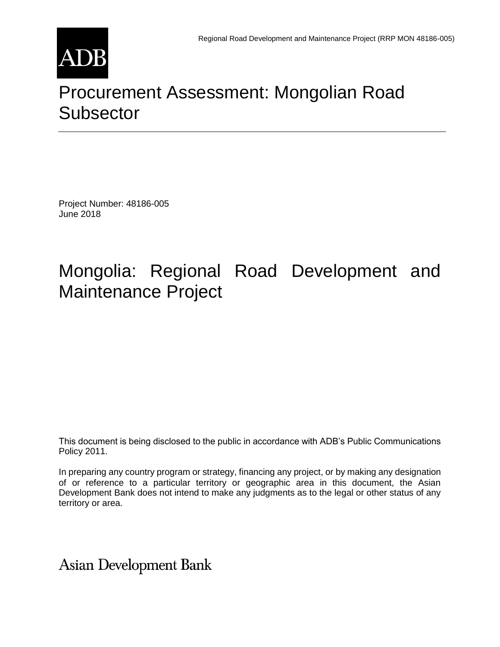

# [Procurement Assessment: Mongolian Road](http://www.adb.org/Documents/RRPs/?id=48186-005-3)  **[Subsector](http://www.adb.org/Documents/RRPs/?id=48186-005-3)**

Project Number: 48186-005 June 2018

# Mongolia: Regional Road Development and Maintenance Project

This document is being disclosed to the public in accordance with ADB's Public Communications Policy 2011.

In preparing any country program or strategy, financing any project, or by making any designation of or reference to a particular territory or geographic area in this document, the Asian Development Bank does not intend to make any judgments as to the legal or other status of any territory or area.

**Asian Development Bank**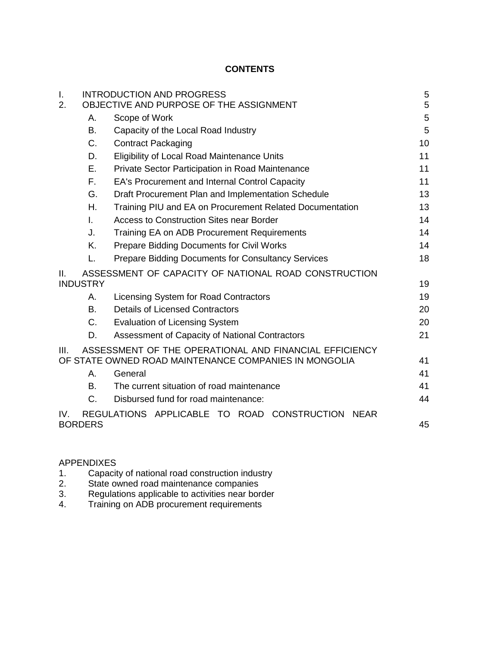# **CONTENTS**

| I.<br>2. |                 | <b>INTRODUCTION AND PROGRESS</b><br>OBJECTIVE AND PURPOSE OF THE ASSIGNMENT                                     | 5<br>5 |
|----------|-----------------|-----------------------------------------------------------------------------------------------------------------|--------|
|          | А.              | Scope of Work                                                                                                   | 5      |
|          | В.              | Capacity of the Local Road Industry                                                                             | 5      |
|          | C.              | <b>Contract Packaging</b>                                                                                       | 10     |
|          | D.              | <b>Eligibility of Local Road Maintenance Units</b>                                                              | 11     |
|          | Е.              | Private Sector Participation in Road Maintenance                                                                | 11     |
|          | Е.              | EA's Procurement and Internal Control Capacity                                                                  | 11     |
|          | G.              | Draft Procurement Plan and Implementation Schedule                                                              | 13     |
|          | Η.              | Training PIU and EA on Procurement Related Documentation                                                        | 13     |
|          | $\mathbf{L}$    | <b>Access to Construction Sites near Border</b>                                                                 | 14     |
|          | J.              | Training EA on ADB Procurement Requirements                                                                     | 14     |
|          | K.              | <b>Prepare Bidding Documents for Civil Works</b>                                                                | 14     |
|          | L.              | <b>Prepare Bidding Documents for Consultancy Services</b>                                                       | 18     |
| Ш.       | <b>INDUSTRY</b> | ASSESSMENT OF CAPACITY OF NATIONAL ROAD CONSTRUCTION                                                            | 19     |
|          | А.              | Licensing System for Road Contractors                                                                           | 19     |
|          | B.              | <b>Details of Licensed Contractors</b>                                                                          | 20     |
|          | C.              | <b>Evaluation of Licensing System</b>                                                                           | 20     |
|          | D.              | Assessment of Capacity of National Contractors                                                                  | 21     |
| III.     |                 | ASSESSMENT OF THE OPERATIONAL AND FINANCIAL EFFICIENCY<br>OF STATE OWNED ROAD MAINTENANCE COMPANIES IN MONGOLIA | 41     |
|          | Α.              | General                                                                                                         | 41     |
|          | В.              | The current situation of road maintenance                                                                       | 41     |
|          | C.              | Disbursed fund for road maintenance:                                                                            | 44     |
| IV.      | <b>BORDERS</b>  | REGULATIONS APPLICABLE TO ROAD CONSTRUCTION<br><b>NEAR</b>                                                      | 45     |

#### APPENDIXES

- 1. Capacity of national road construction industry
- 2. State owned road maintenance companies
- 3. Regulations applicable to activities near border
- 4. Training on ADB procurement requirements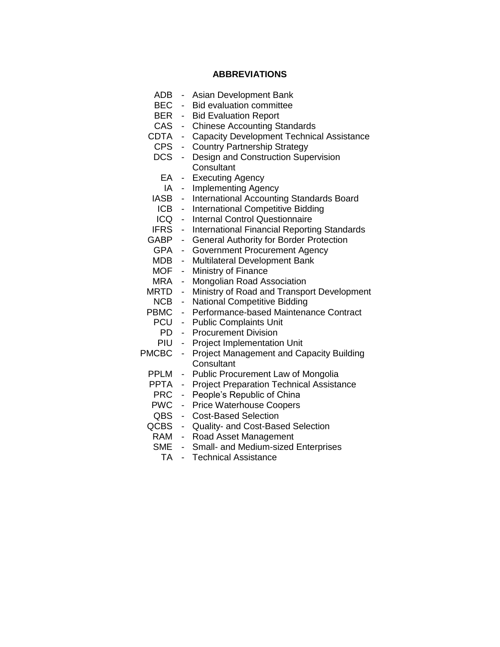### **ABBREVIATIONS**

| <b>ADB</b>   |                          | Asian Development Bank                             |
|--------------|--------------------------|----------------------------------------------------|
| <b>BEC</b>   | $\overline{\phantom{0}}$ | <b>Bid evaluation committee</b>                    |
| BER          | Ξ.                       | <b>Bid Evaluation Report</b>                       |
| <b>CAS</b>   | ۰.                       | <b>Chinese Accounting Standards</b>                |
| CDTA         | $\blacksquare$           | <b>Capacity Development Technical Assistance</b>   |
| <b>CPS</b>   | $\blacksquare$           | <b>Country Partnership Strategy</b>                |
| <b>DCS</b>   | $\frac{1}{2}$            | Design and Construction Supervision                |
|              |                          | Consultant                                         |
| EA           | ۰                        | <b>Executing Agency</b>                            |
| IA           | $\sim$                   | <b>Implementing Agency</b>                         |
| IASB         | $\sim$                   | International Accounting Standards Board           |
| <b>ICB</b>   | ۰.                       | <b>International Competitive Bidding</b>           |
| ICQ          | $\blacksquare$           | <b>Internal Control Questionnaire</b>              |
| <b>IFRS</b>  | ÷.                       | <b>International Financial Reporting Standards</b> |
| GABP         | н.                       | <b>General Authority for Border Protection</b>     |
| <b>GPA</b>   | $\overline{\phantom{a}}$ | <b>Government Procurement Agency</b>               |
| MDB          | $\overline{\phantom{0}}$ | <b>Multilateral Development Bank</b>               |
| MOF          | -                        | Ministry of Finance                                |
| MRA          | -                        | Mongolian Road Association                         |
| MRTD         | -                        | Ministry of Road and Transport Development         |
| NCB          | -                        | <b>National Competitive Bidding</b>                |
| PBMC         | ۰,                       | Performance-based Maintenance Contract             |
| PCU          | ÷.                       | <b>Public Complaints Unit</b>                      |
| PD           | $\overline{\phantom{0}}$ | <b>Procurement Division</b>                        |
| PIU          | $\overline{\phantom{0}}$ | <b>Project Implementation Unit</b>                 |
| <b>PMCBC</b> | $\overline{\phantom{0}}$ | <b>Project Management and Capacity Building</b>    |
|              |                          | Consultant                                         |
| PPLM         | -                        | Public Procurement Law of Mongolia                 |
| PPTA         | ۰.                       | <b>Project Preparation Technical Assistance</b>    |
| <b>PRC</b>   | ۰.                       | People's Republic of China                         |
| <b>PWC</b>   | ۰.                       | <b>Price Waterhouse Coopers</b>                    |
| QBS          | ۰,                       | <b>Cost-Based Selection</b>                        |
| QCBS         | $\overline{\phantom{0}}$ | Quality- and Cost-Based Selection                  |
| RAM          |                          | - Road Asset Management                            |
| <b>SME</b>   | $\blacksquare$           | Small- and Medium-sized Enterprises                |
| ᅮ            |                          | Taahniaal Aasistanaa                               |

TA - Technical Assistance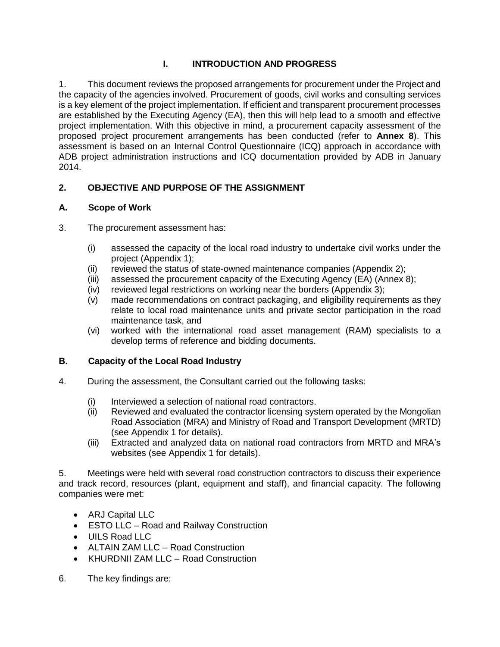# **I. INTRODUCTION AND PROGRESS**

1. This document reviews the proposed arrangements for procurement under the Project and the capacity of the agencies involved. Procurement of goods, civil works and consulting services is a key element of the project implementation. If efficient and transparent procurement processes are established by the Executing Agency (EA), then this will help lead to a smooth and effective project implementation. With this objective in mind, a procurement capacity assessment of the proposed project procurement arrangements has been conducted (refer to **Annex 8**). This assessment is based on an Internal Control Questionnaire (ICQ) approach in accordance with ADB project administration instructions and ICQ documentation provided by ADB in January 2014.

# **2. OBJECTIVE AND PURPOSE OF THE ASSIGNMENT**

# **A. Scope of Work**

- 3. The procurement assessment has:
	- (i) assessed the capacity of the local road industry to undertake civil works under the project (Appendix 1);
	- (ii) reviewed the status of state-owned maintenance companies (Appendix 2);
	- (iii) assessed the procurement capacity of the Executing Agency (EA) (Annex 8);
	- (iv) reviewed legal restrictions on working near the borders (Appendix 3);
	- (v) made recommendations on contract packaging, and eligibility requirements as they relate to local road maintenance units and private sector participation in the road maintenance task, and
	- (vi) worked with the international road asset management (RAM) specialists to a develop terms of reference and bidding documents.

# **B. Capacity of the Local Road Industry**

- 4. During the assessment, the Consultant carried out the following tasks:
	- (i) Interviewed a selection of national road contractors.
	- (ii) Reviewed and evaluated the contractor licensing system operated by the Mongolian Road Association (MRA) and Ministry of Road and Transport Development (MRTD) (see Appendix 1 for details).
	- (iii) Extracted and analyzed data on national road contractors from MRTD and MRA's websites (see Appendix 1 for details).

5. Meetings were held with several road construction contractors to discuss their experience and track record, resources (plant, equipment and staff), and financial capacity. The following companies were met:

- ARJ Capital LLC
- ESTO LLC Road and Railway Construction
- UILS Road LLC
- ALTAIN ZAM LLC Road Construction
- KHURDNII ZAM LLC Road Construction
- 6. The key findings are: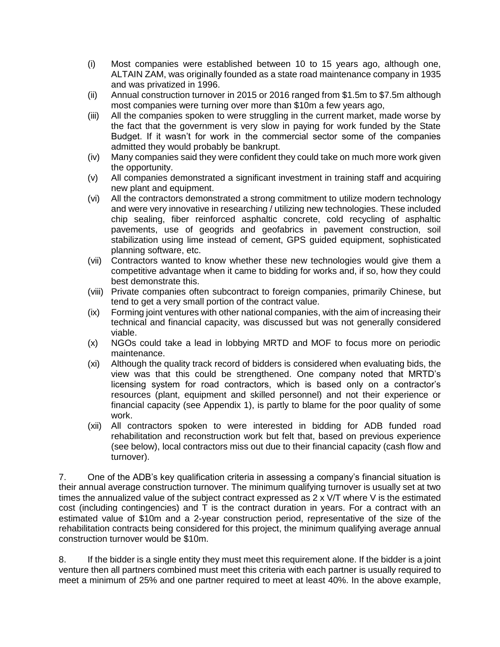- (i) Most companies were established between 10 to 15 years ago, although one, ALTAIN ZAM, was originally founded as a state road maintenance company in 1935 and was privatized in 1996.
- (ii) Annual construction turnover in 2015 or 2016 ranged from \$1.5m to \$7.5m although most companies were turning over more than \$10m a few years ago,
- (iii) All the companies spoken to were struggling in the current market, made worse by the fact that the government is very slow in paying for work funded by the State Budget. If it wasn't for work in the commercial sector some of the companies admitted they would probably be bankrupt.
- (iv) Many companies said they were confident they could take on much more work given the opportunity.
- (v) All companies demonstrated a significant investment in training staff and acquiring new plant and equipment.
- (vi) All the contractors demonstrated a strong commitment to utilize modern technology and were very innovative in researching / utilizing new technologies. These included chip sealing, fiber reinforced asphaltic concrete, cold recycling of asphaltic pavements, use of geogrids and geofabrics in pavement construction, soil stabilization using lime instead of cement, GPS guided equipment, sophisticated planning software, etc.
- (vii) Contractors wanted to know whether these new technologies would give them a competitive advantage when it came to bidding for works and, if so, how they could best demonstrate this.
- (viii) Private companies often subcontract to foreign companies, primarily Chinese, but tend to get a very small portion of the contract value.
- (ix) Forming joint ventures with other national companies, with the aim of increasing their technical and financial capacity, was discussed but was not generally considered viable.
- (x) NGOs could take a lead in lobbying MRTD and MOF to focus more on periodic maintenance.
- (xi) Although the quality track record of bidders is considered when evaluating bids, the view was that this could be strengthened. One company noted that MRTD's licensing system for road contractors, which is based only on a contractor's resources (plant, equipment and skilled personnel) and not their experience or financial capacity (see Appendix 1), is partly to blame for the poor quality of some work.
- (xii) All contractors spoken to were interested in bidding for ADB funded road rehabilitation and reconstruction work but felt that, based on previous experience (see below), local contractors miss out due to their financial capacity (cash flow and turnover).

7. One of the ADB's key qualification criteria in assessing a company's financial situation is their annual average construction turnover. The minimum qualifying turnover is usually set at two times the annualized value of the subject contract expressed as 2 x V/T where V is the estimated cost (including contingencies) and T is the contract duration in years. For a contract with an estimated value of \$10m and a 2-year construction period, representative of the size of the rehabilitation contracts being considered for this project, the minimum qualifying average annual construction turnover would be \$10m.

8. If the bidder is a single entity they must meet this requirement alone. If the bidder is a joint venture then all partners combined must meet this criteria with each partner is usually required to meet a minimum of 25% and one partner required to meet at least 40%. In the above example,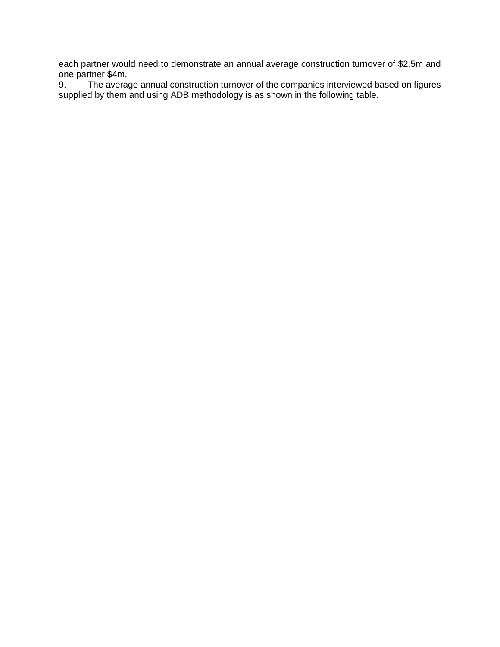each partner would need to demonstrate an annual average construction turnover of \$2.5m and one partner \$4m.

9. The average annual construction turnover of the companies interviewed based on figures supplied by them and using ADB methodology is as shown in the following table.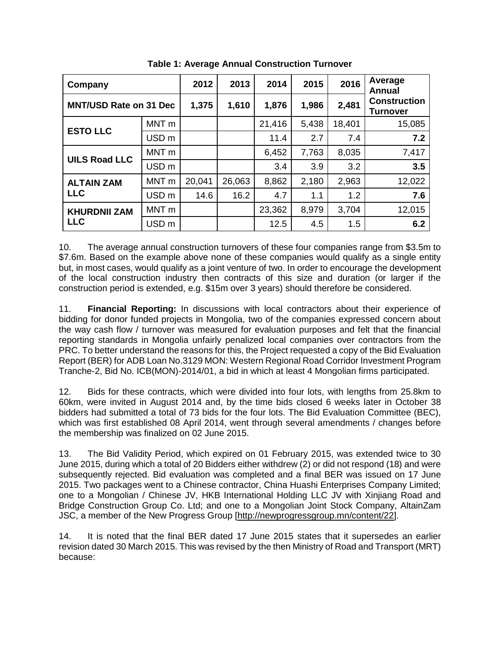| Company                       | 2012             | 2013   | 2014   | 2015   | 2016  | Average<br>Annual |                                 |
|-------------------------------|------------------|--------|--------|--------|-------|-------------------|---------------------------------|
| <b>MNT/USD Rate on 31 Dec</b> |                  | 1,375  | 1,610  | 1,876  | 1,986 | 2,481             | <b>Construction</b><br>Turnover |
| <b>ESTO LLC</b>               | MNT <sub>m</sub> |        |        | 21,416 | 5,438 | 18,401            | 15,085                          |
|                               | USD <sub>m</sub> |        |        | 11.4   | 2.7   | 7.4               | 7.2                             |
| <b>UILS Road LLC</b>          | MNT <sub>m</sub> |        |        | 6,452  | 7,763 | 8,035             | 7,417                           |
|                               | USD <sub>m</sub> |        |        | 3.4    | 3.9   | 3.2               | 3.5                             |
| <b>ALTAIN ZAM</b>             | MNT <sub>m</sub> | 20,041 | 26,063 | 8,862  | 2,180 | 2,963             | 12,022                          |
| <b>LLC</b>                    | USD <sub>m</sub> | 14.6   | 16.2   | 4.7    | 1.1   | 1.2               | 7.6                             |
| <b>KHURDNII ZAM</b>           | MNT <sub>m</sub> |        |        | 23,362 | 8,979 | 3,704             | 12,015                          |
| <b>LLC</b>                    | USD <sub>m</sub> |        |        | 12.5   | 4.5   | 1.5               | 6.2                             |

**Table 1: Average Annual Construction Turnover**

<span id="page-6-0"></span>10. The average annual construction turnovers of these four companies range from \$3.5m to \$7.6m. Based on the example above none of these companies would qualify as a single entity but, in most cases, would qualify as a joint venture of two. In order to encourage the development of the local construction industry then contracts of this size and duration (or larger if the construction period is extended, e.g. \$15m over 3 years) should therefore be considered.

11. **Financial Reporting:** In discussions with local contractors about their experience of bidding for donor funded projects in Mongolia, two of the companies expressed concern about the way cash flow / turnover was measured for evaluation purposes and felt that the financial reporting standards in Mongolia unfairly penalized local companies over contractors from the PRC. To better understand the reasons for this, the Project requested a copy of the Bid Evaluation Report (BER) for ADB Loan No.3129 MON: Western Regional Road Corridor Investment Program Tranche-2, Bid No. ICB(MON)-2014/01, a bid in which at least 4 Mongolian firms participated.

12. Bids for these contracts, which were divided into four lots, with lengths from 25.8km to 60km, were invited in August 2014 and, by the time bids closed 6 weeks later in October 38 bidders had submitted a total of 73 bids for the four lots. The Bid Evaluation Committee (BEC), which was first established 08 April 2014, went through several amendments / changes before the membership was finalized on 02 June 2015.

13. The Bid Validity Period, which expired on 01 February 2015, was extended twice to 30 June 2015, during which a total of 20 Bidders either withdrew (2) or did not respond (18) and were subsequently rejected. Bid evaluation was completed and a final BER was issued on 17 June 2015. Two packages went to a Chinese contractor, China Huashi Enterprises Company Limited; one to a Mongolian / Chinese JV, HKB International Holding LLC JV with Xinjiang Road and Bridge Construction Group Co. Ltd; and one to a Mongolian Joint Stock Company, AltainZam JSC, a member of the New Progress Group [\[http://newprogressgroup.mn/content/22\]](http://newprogressgroup.mn/content/22).

14. It is noted that the final BER dated 17 June 2015 states that it supersedes an earlier revision dated 30 March 2015. This was revised by the then Ministry of Road and Transport (MRT) because: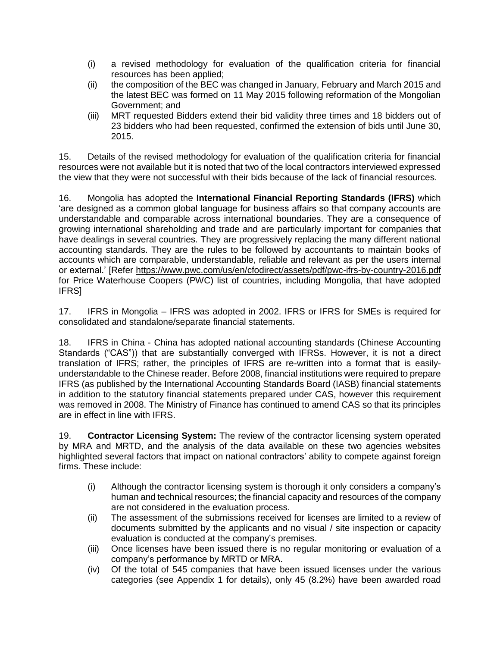- (i) a revised methodology for evaluation of the qualification criteria for financial resources has been applied;
- (ii) the composition of the BEC was changed in January, February and March 2015 and the latest BEC was formed on 11 May 2015 following reformation of the Mongolian Government; and
- (iii) MRT requested Bidders extend their bid validity three times and 18 bidders out of 23 bidders who had been requested, confirmed the extension of bids until June 30, 2015.

15. Details of the revised methodology for evaluation of the qualification criteria for financial resources were not available but it is noted that two of the local contractors interviewed expressed the view that they were not successful with their bids because of the lack of financial resources.

16. Mongolia has adopted the **International Financial Reporting Standards (IFRS)** which 'are designed as a common global language for business affairs so that company accounts are understandable and comparable across international boundaries. They are a consequence of growing international shareholding and trade and are particularly important for companies that have dealings in several countries. They are progressively replacing the many different national accounting standards. They are the rules to be followed by accountants to maintain books of accounts which are comparable, understandable, reliable and relevant as per the users internal or external.' [Refer<https://www.pwc.com/us/en/cfodirect/assets/pdf/pwc-ifrs-by-country-2016.pdf> for Price Waterhouse Coopers (PWC) list of countries, including Mongolia, that have adopted IFRS]

17. IFRS in Mongolia – IFRS was adopted in 2002. IFRS or IFRS for SMEs is required for consolidated and standalone/separate financial statements.

18. IFRS in China - China has adopted national accounting standards (Chinese Accounting Standards ("CAS")) that are substantially converged with IFRSs. However, it is not a direct translation of IFRS; rather, the principles of IFRS are re-written into a format that is easilyunderstandable to the Chinese reader. Before 2008, financial institutions were required to prepare IFRS (as published by the International Accounting Standards Board (IASB) financial statements in addition to the statutory financial statements prepared under CAS, however this requirement was removed in 2008. The Ministry of Finance has continued to amend CAS so that its principles are in effect in line with IFRS.

19. **Contractor Licensing System:** The review of the contractor licensing system operated by MRA and MRTD, and the analysis of the data available on these two agencies websites highlighted several factors that impact on national contractors' ability to compete against foreign firms. These include:

- (i) Although the contractor licensing system is thorough it only considers a company's human and technical resources; the financial capacity and resources of the company are not considered in the evaluation process.
- (ii) The assessment of the submissions received for licenses are limited to a review of documents submitted by the applicants and no visual / site inspection or capacity evaluation is conducted at the company's premises.
- (iii) Once licenses have been issued there is no regular monitoring or evaluation of a company's performance by MRTD or MRA.
- (iv) Of the total of 545 companies that have been issued licenses under the various categories (see Appendix 1 for details), only 45 (8.2%) have been awarded road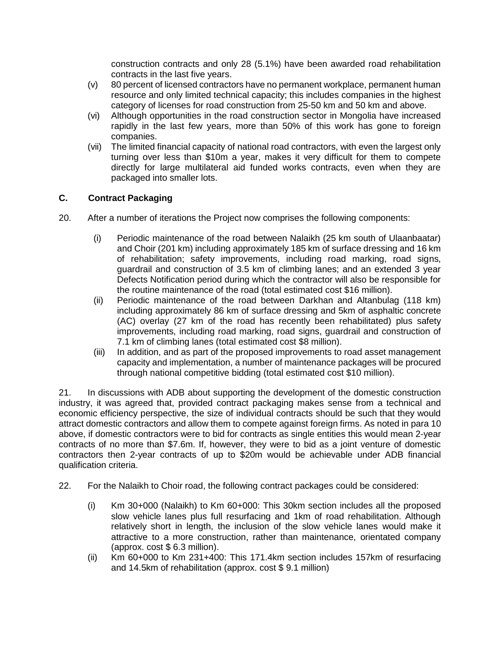construction contracts and only 28 (5.1%) have been awarded road rehabilitation contracts in the last five years.

- (v) 80 percent of licensed contractors have no permanent workplace, permanent human resource and only limited technical capacity; this includes companies in the highest category of licenses for road construction from 25-50 km and 50 km and above.
- (vi) Although opportunities in the road construction sector in Mongolia have increased rapidly in the last few years, more than 50% of this work has gone to foreign companies.
- (vii) The limited financial capacity of national road contractors, with even the largest only turning over less than \$10m a year, makes it very difficult for them to compete directly for large multilateral aid funded works contracts, even when they are packaged into smaller lots.

#### <span id="page-8-0"></span>**C. Contract Packaging**

- <span id="page-8-1"></span>20. After a number of iterations the Project now comprises the following components:
	- (i) Periodic maintenance of the road between Nalaikh (25 km south of Ulaanbaatar) and Choir (201 km) including approximately 185 km of surface dressing and 16 km of rehabilitation; safety improvements, including road marking, road signs, guardrail and construction of 3.5 km of climbing lanes; and an extended 3 year Defects Notification period during which the contractor will also be responsible for the routine maintenance of the road (total estimated cost \$16 million).
	- (ii) Periodic maintenance of the road between Darkhan and Altanbulag (118 km) including approximately 86 km of surface dressing and 5km of asphaltic concrete (AC) overlay (27 km of the road has recently been rehabilitated) plus safety improvements, including road marking, road signs, guardrail and construction of 7.1 km of climbing lanes (total estimated cost \$8 million).
	- (iii) In addition, and as part of the proposed improvements to road asset management capacity and implementation, a number of maintenance packages will be procured through national competitive bidding (total estimated cost \$10 million).

21. In discussions with ADB about supporting the development of the domestic construction industry, it was agreed that, provided contract packaging makes sense from a technical and economic efficiency perspective, the size of individual contracts should be such that they would attract domestic contractors and allow them to compete against foreign firms. As noted in para [10](#page-6-0)  [above,](#page-6-0) if domestic contractors were to bid for contracts as single entities this would mean 2-year contracts of no more than \$7.6m. If, however, they were to bid as a joint venture of domestic contractors then 2-year contracts of up to \$20m would be achievable under ADB financial qualification criteria.

- 22. For the Nalaikh to Choir road, the following contract packages could be considered:
	- (i) Km 30+000 (Nalaikh) to Km 60+000: This 30km section includes all the proposed slow vehicle lanes plus full resurfacing and 1km of road rehabilitation. Although relatively short in length, the inclusion of the slow vehicle lanes would make it attractive to a more construction, rather than maintenance, orientated company (approx. cost \$ 6.3 million).
	- (ii) Km 60+000 to Km 231+400: This 171.4km section includes 157km of resurfacing and 14.5km of rehabilitation (approx. cost \$ 9.1 million)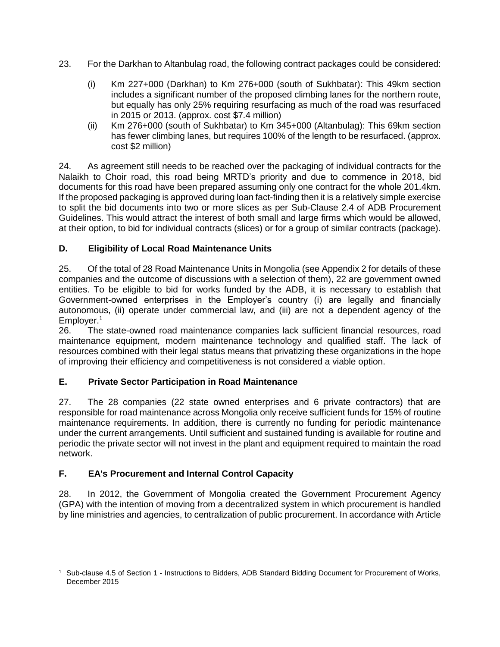- 23. For the Darkhan to Altanbulag road, the following contract packages could be considered:
	- (i) Km 227+000 (Darkhan) to Km 276+000 (south of Sukhbatar): This 49km section includes a significant number of the proposed climbing lanes for the northern route, but equally has only 25% requiring resurfacing as much of the road was resurfaced in 2015 or 2013. (approx. cost \$7.4 million)
	- (ii) Km 276+000 (south of Sukhbatar) to Km 345+000 (Altanbulag): This 69km section has fewer climbing lanes, but requires 100% of the length to be resurfaced. (approx. cost \$2 million)

24. As agreement still needs to be reached over the packaging of individual contracts for the Nalaikh to Choir road, this road being MRTD's priority and due to commence in 2018, bid documents for this road have been prepared assuming only one contract for the whole 201.4km. If the proposed packaging is approved during loan fact-finding then it is a relatively simple exercise to split the bid documents into two or more slices as per Sub-Clause 2.4 of ADB Procurement Guidelines. This would attract the interest of both small and large firms which would be allowed, at their option, to bid for individual contracts (slices) or for a group of similar contracts (package).

#### **D. Eligibility of Local Road Maintenance Units**

25. Of the total of 28 Road Maintenance Units in Mongolia (see Appendix 2 for details of these companies and the outcome of discussions with a selection of them), 22 are government owned entities. To be eligible to bid for works funded by the ADB, it is necessary to establish that Government-owned enterprises in the Employer's country (i) are legally and financially autonomous, (ii) operate under commercial law, and (iii) are not a dependent agency of the Employer.<sup>1</sup>

26. The state-owned road maintenance companies lack sufficient financial resources, road maintenance equipment, modern maintenance technology and qualified staff. The lack of resources combined with their legal status means that privatizing these organizations in the hope of improving their efficiency and competitiveness is not considered a viable option.

#### **E. Private Sector Participation in Road Maintenance**

27. The 28 companies (22 state owned enterprises and 6 private contractors) that are responsible for road maintenance across Mongolia only receive sufficient funds for 15% of routine maintenance requirements. In addition, there is currently no funding for periodic maintenance under the current arrangements. Until sufficient and sustained funding is available for routine and periodic the private sector will not invest in the plant and equipment required to maintain the road network.

# **F. EA's Procurement and Internal Control Capacity**

28. In 2012, the Government of Mongolia created the Government Procurement Agency (GPA) with the intention of moving from a decentralized system in which procurement is handled by line ministries and agencies, to centralization of public procurement. In accordance with Article

<sup>1</sup> Sub-clause 4.5 of Section 1 - Instructions to Bidders, ADB Standard Bidding Document for Procurement of Works, December 2015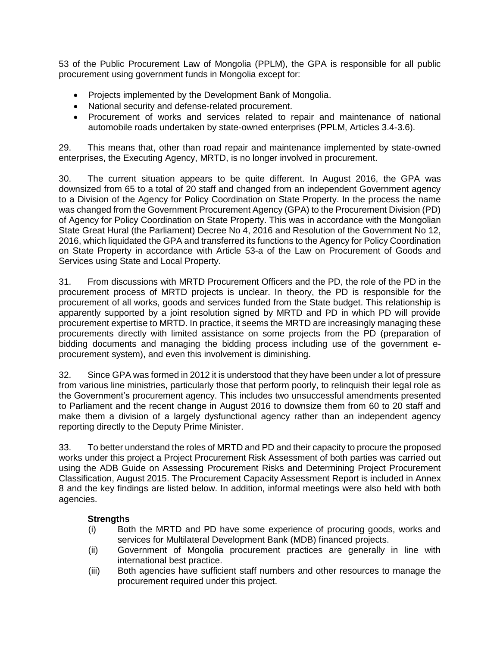53 of the Public Procurement Law of Mongolia (PPLM), the GPA is responsible for all public procurement using government funds in Mongolia except for:

- Projects implemented by the Development Bank of Mongolia.
- National security and defense-related procurement.
- Procurement of works and services related to repair and maintenance of national automobile roads undertaken by state-owned enterprises (PPLM, Articles 3.4-3.6).

29. This means that, other than road repair and maintenance implemented by state-owned enterprises, the Executing Agency, MRTD, is no longer involved in procurement.

30. The current situation appears to be quite different. In August 2016, the GPA was downsized from 65 to a total of 20 staff and changed from an independent Government agency to a Division of the Agency for Policy Coordination on State Property. In the process the name was changed from the Government Procurement Agency (GPA) to the Procurement Division (PD) of Agency for Policy Coordination on State Property. This was in accordance with the Mongolian State Great Hural (the Parliament) Decree No 4, 2016 and Resolution of the Government No 12, 2016, which liquidated the GPA and transferred its functions to the Agency for Policy Coordination on State Property in accordance with Article 53-a of the Law on Procurement of Goods and Services using State and Local Property.

31. From discussions with MRTD Procurement Officers and the PD, the role of the PD in the procurement process of MRTD projects is unclear. In theory, the PD is responsible for the procurement of all works, goods and services funded from the State budget. This relationship is apparently supported by a joint resolution signed by MRTD and PD in which PD will provide procurement expertise to MRTD. In practice, it seems the MRTD are increasingly managing these procurements directly with limited assistance on some projects from the PD (preparation of bidding documents and managing the bidding process including use of the government eprocurement system), and even this involvement is diminishing.

32. Since GPA was formed in 2012 it is understood that they have been under a lot of pressure from various line ministries, particularly those that perform poorly, to relinquish their legal role as the Government's procurement agency. This includes two unsuccessful amendments presented to Parliament and the recent change in August 2016 to downsize them from 60 to 20 staff and make them a division of a largely dysfunctional agency rather than an independent agency reporting directly to the Deputy Prime Minister.

33. To better understand the roles of MRTD and PD and their capacity to procure the proposed works under this project a Project Procurement Risk Assessment of both parties was carried out using the ADB Guide on Assessing Procurement Risks and Determining Project Procurement Classification, August 2015. The Procurement Capacity Assessment Report is included in Annex 8 and the key findings are listed below. In addition, informal meetings were also held with both agencies.

# **Strengths**

- (i) Both the MRTD and PD have some experience of procuring goods, works and services for Multilateral Development Bank (MDB) financed projects.
- (ii) Government of Mongolia procurement practices are generally in line with international best practice.
- (iii) Both agencies have sufficient staff numbers and other resources to manage the procurement required under this project.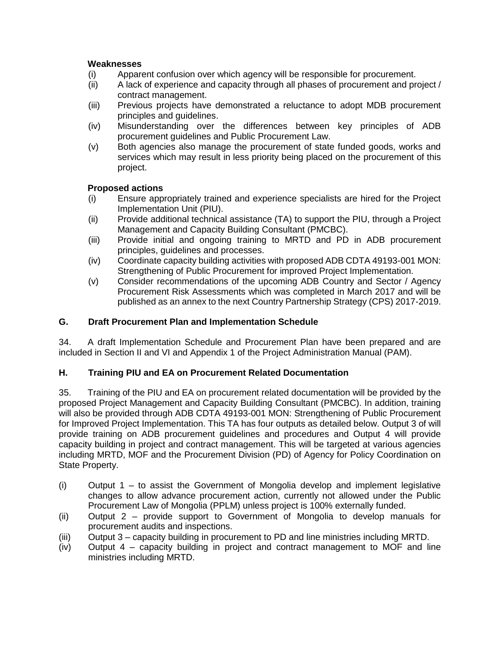### **Weaknesses**

- (i) Apparent confusion over which agency will be responsible for procurement.
- (ii) A lack of experience and capacity through all phases of procurement and project / contract management.
- (iii) Previous projects have demonstrated a reluctance to adopt MDB procurement principles and guidelines.
- (iv) Misunderstanding over the differences between key principles of ADB procurement guidelines and Public Procurement Law.
- (v) Both agencies also manage the procurement of state funded goods, works and services which may result in less priority being placed on the procurement of this project.

#### **Proposed actions**

- (i) Ensure appropriately trained and experience specialists are hired for the Project Implementation Unit (PIU).
- (ii) Provide additional technical assistance (TA) to support the PIU, through a Project Management and Capacity Building Consultant (PMCBC).
- (iii) Provide initial and ongoing training to MRTD and PD in ADB procurement principles, guidelines and processes.
- (iv) Coordinate capacity building activities with proposed ADB CDTA 49193-001 MON: Strengthening of Public Procurement for improved Project Implementation.
- (v) Consider recommendations of the upcoming ADB Country and Sector / Agency Procurement Risk Assessments which was completed in March 2017 and will be published as an annex to the next Country Partnership Strategy (CPS) 2017-2019.

#### **G. Draft Procurement Plan and Implementation Schedule**

34. A draft Implementation Schedule and Procurement Plan have been prepared and are included in Section II and VI and Appendix 1 of the Project Administration Manual (PAM).

#### <span id="page-11-0"></span>**H. Training PIU and EA on Procurement Related Documentation**

35. Training of the PIU and EA on procurement related documentation will be provided by the proposed Project Management and Capacity Building Consultant (PMCBC). In addition, training will also be provided through ADB CDTA 49193-001 MON: Strengthening of Public Procurement for Improved Project Implementation. This TA has four outputs as detailed below. Output 3 of will provide training on ADB procurement guidelines and procedures and Output 4 will provide capacity building in project and contract management. This will be targeted at various agencies including MRTD, MOF and the Procurement Division (PD) of Agency for Policy Coordination on State Property.

- (i) Output 1 to assist the Government of Mongolia develop and implement legislative changes to allow advance procurement action, currently not allowed under the Public Procurement Law of Mongolia (PPLM) unless project is 100% externally funded.
- (ii) Output 2 provide support to Government of Mongolia to develop manuals for procurement audits and inspections.
- (iii) Output 3 capacity building in procurement to PD and line ministries including MRTD.
- (iv) Output 4 capacity building in project and contract management to MOF and line ministries including MRTD.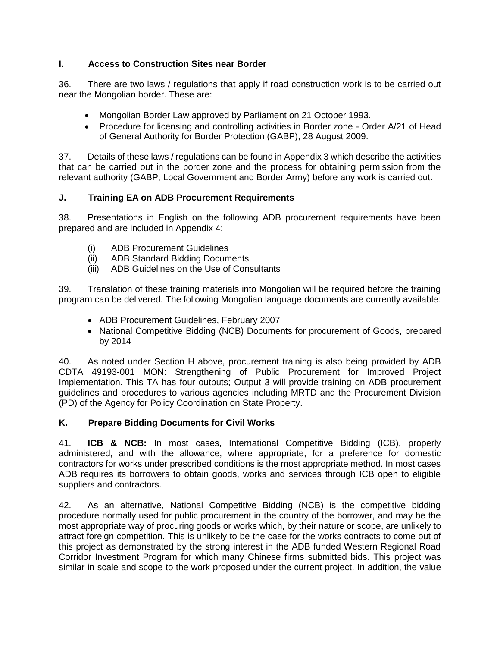### **I. Access to Construction Sites near Border**

36. There are two laws / regulations that apply if road construction work is to be carried out near the Mongolian border. These are:

- Mongolian Border Law approved by Parliament on 21 October 1993.
- Procedure for licensing and controlling activities in Border zone Order A/21 of Head of General Authority for Border Protection (GABP), 28 August 2009.

37. Details of these laws / regulations can be found in Appendix 3 which describe the activities that can be carried out in the border zone and the process for obtaining permission from the relevant authority (GABP, Local Government and Border Army) before any work is carried out.

# **J. Training EA on ADB Procurement Requirements**

38. Presentations in English on the following ADB procurement requirements have been prepared and are included in Appendix 4:

- (i) ADB Procurement Guidelines
- (ii) ADB Standard Bidding Documents
- (iii) ADB Guidelines on the Use of Consultants

39. Translation of these training materials into Mongolian will be required before the training program can be delivered. The following Mongolian language documents are currently available:

- ADB Procurement Guidelines, February 2007
- National Competitive Bidding (NCB) Documents for procurement of Goods, prepared by 2014

40. As noted under Section [H above,](#page-11-0) procurement training is also being provided by ADB CDTA 49193-001 MON: Strengthening of Public Procurement for Improved Project Implementation. This TA has four outputs; Output 3 will provide training on ADB procurement guidelines and procedures to various agencies including MRTD and the Procurement Division (PD) of the Agency for Policy Coordination on State Property.

# **K. Prepare Bidding Documents for Civil Works**

41. **ICB & NCB:** In most cases, International Competitive Bidding (ICB), properly administered, and with the allowance, where appropriate, for a preference for domestic contractors for works under prescribed conditions is the most appropriate method. In most cases ADB requires its borrowers to obtain goods, works and services through ICB open to eligible suppliers and contractors.

42. As an alternative, National Competitive Bidding (NCB) is the competitive bidding procedure normally used for public procurement in the country of the borrower, and may be the most appropriate way of procuring goods or works which, by their nature or scope, are unlikely to attract foreign competition. This is unlikely to be the case for the works contracts to come out of this project as demonstrated by the strong interest in the ADB funded Western Regional Road Corridor Investment Program for which many Chinese firms submitted bids. This project was similar in scale and scope to the work proposed under the current project. In addition, the value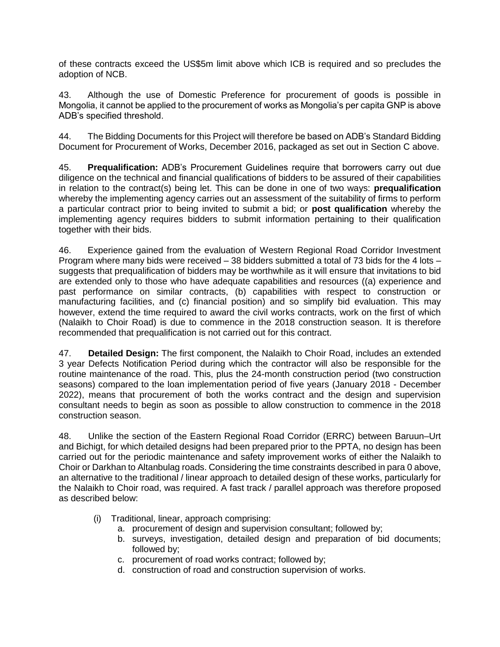of these contracts exceed the US\$5m limit above which ICB is required and so precludes the adoption of NCB.

43. Although the use of Domestic Preference for procurement of goods is possible in Mongolia, it cannot be applied to the procurement of works as Mongolia's per capita GNP is above ADB's specified threshold.

44. The Bidding Documents for this Project will therefore be based on ADB's Standard Bidding Document for Procurement of Works, December 2016, packaged as set out in Section [C above.](#page-8-0)

45. **Prequalification:** ADB's Procurement Guidelines require that borrowers carry out due diligence on the technical and financial qualifications of bidders to be assured of their capabilities in relation to the contract(s) being let. This can be done in one of two ways: **prequalification** whereby the implementing agency carries out an assessment of the suitability of firms to perform a particular contract prior to being invited to submit a bid; or **post qualification** whereby the implementing agency requires bidders to submit information pertaining to their qualification together with their bids.

46. Experience gained from the evaluation of Western Regional Road Corridor Investment Program where many bids were received – 38 bidders submitted a total of 73 bids for the 4 lots – suggests that prequalification of bidders may be worthwhile as it will ensure that invitations to bid are extended only to those who have adequate capabilities and resources ((a) experience and past performance on similar contracts, (b) capabilities with respect to construction or manufacturing facilities, and (c) financial position) and so simplify bid evaluation. This may however, extend the time required to award the civil works contracts, work on the first of which (Nalaikh to Choir Road) is due to commence in the 2018 construction season. It is therefore recommended that prequalification is not carried out for this contract.

<span id="page-13-0"></span>47. **Detailed Design:** The first component, the Nalaikh to Choir Road, includes an extended 3 year Defects Notification Period during which the contractor will also be responsible for the routine maintenance of the road. This, plus the 24-month construction period (two construction seasons) compared to the loan implementation period of five years (January 2018 - December 2022), means that procurement of both the works contract and the design and supervision consultant needs to begin as soon as possible to allow construction to commence in the 2018 construction season.

48. Unlike the section of the Eastern Regional Road Corridor (ERRC) between Baruun–Urt and Bichigt, for which detailed designs had been prepared prior to the PPTA, no design has been carried out for the periodic maintenance and safety improvement works of either the Nalaikh to Choir or Darkhan to Altanbulag roads. Considering the time constraints described in para [0 above,](#page-13-0) an alternative to the traditional / linear approach to detailed design of these works, particularly for the Nalaikh to Choir road, was required. A fast track / parallel approach was therefore proposed as described below:

- (i) Traditional, linear, approach comprising:
	- a. procurement of design and supervision consultant; followed by;
	- b. surveys, investigation, detailed design and preparation of bid documents; followed by;
	- c. procurement of road works contract; followed by;
	- d. construction of road and construction supervision of works.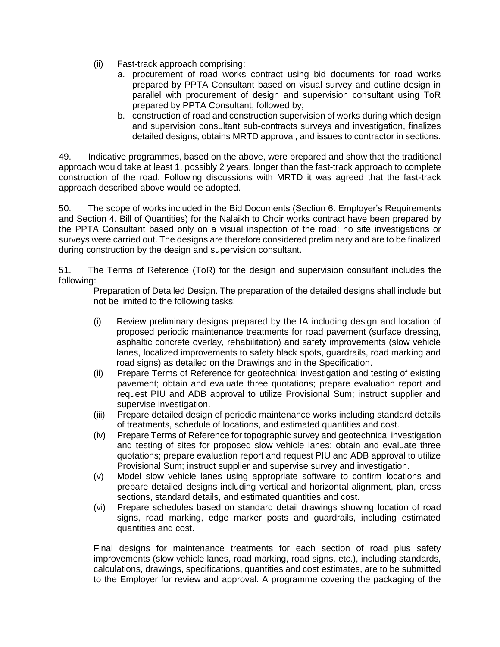- (ii) Fast-track approach comprising:
	- a. procurement of road works contract using bid documents for road works prepared by PPTA Consultant based on visual survey and outline design in parallel with procurement of design and supervision consultant using ToR prepared by PPTA Consultant; followed by;
	- b. construction of road and construction supervision of works during which design and supervision consultant sub-contracts surveys and investigation, finalizes detailed designs, obtains MRTD approval, and issues to contractor in sections.

49. Indicative programmes, based on the above, were prepared and show that the traditional approach would take at least 1, possibly 2 years, longer than the fast-track approach to complete construction of the road. Following discussions with MRTD it was agreed that the fast-track approach described above would be adopted.

50. The scope of works included in the Bid Documents (Section 6. Employer's Requirements and Section 4. Bill of Quantities) for the Nalaikh to Choir works contract have been prepared by the PPTA Consultant based only on a visual inspection of the road; no site investigations or surveys were carried out. The designs are therefore considered preliminary and are to be finalized during construction by the design and supervision consultant.

<span id="page-14-0"></span>51. The Terms of Reference (ToR) for the design and supervision consultant includes the following:

Preparation of Detailed Design. The preparation of the detailed designs shall include but not be limited to the following tasks:

- (i) Review preliminary designs prepared by the IA including design and location of proposed periodic maintenance treatments for road pavement (surface dressing, asphaltic concrete overlay, rehabilitation) and safety improvements (slow vehicle lanes, localized improvements to safety black spots, guardrails, road marking and road signs) as detailed on the Drawings and in the Specification.
- (ii) Prepare Terms of Reference for geotechnical investigation and testing of existing pavement; obtain and evaluate three quotations; prepare evaluation report and request PIU and ADB approval to utilize Provisional Sum; instruct supplier and supervise investigation.
- (iii) Prepare detailed design of periodic maintenance works including standard details of treatments, schedule of locations, and estimated quantities and cost.
- (iv) Prepare Terms of Reference for topographic survey and geotechnical investigation and testing of sites for proposed slow vehicle lanes; obtain and evaluate three quotations; prepare evaluation report and request PIU and ADB approval to utilize Provisional Sum; instruct supplier and supervise survey and investigation.
- (v) Model slow vehicle lanes using appropriate software to confirm locations and prepare detailed designs including vertical and horizontal alignment, plan, cross sections, standard details, and estimated quantities and cost.
- (vi) Prepare schedules based on standard detail drawings showing location of road signs, road marking, edge marker posts and guardrails, including estimated quantities and cost.

Final designs for maintenance treatments for each section of road plus safety improvements (slow vehicle lanes, road marking, road signs, etc.), including standards, calculations, drawings, specifications, quantities and cost estimates, are to be submitted to the Employer for review and approval. A programme covering the packaging of the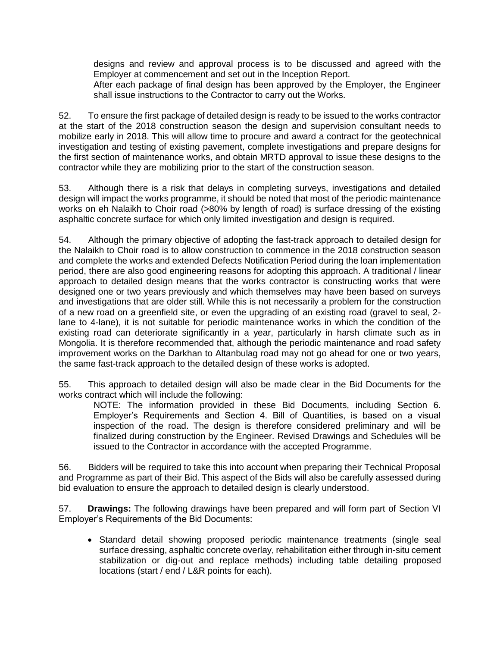designs and review and approval process is to be discussed and agreed with the Employer at commencement and set out in the Inception Report.

After each package of final design has been approved by the Employer, the Engineer shall issue instructions to the Contractor to carry out the Works.

52. To ensure the first package of detailed design is ready to be issued to the works contractor at the start of the 2018 construction season the design and supervision consultant needs to mobilize early in 2018. This will allow time to procure and award a contract for the geotechnical investigation and testing of existing pavement, complete investigations and prepare designs for the first section of maintenance works, and obtain MRTD approval to issue these designs to the contractor while they are mobilizing prior to the start of the construction season.

53. Although there is a risk that delays in completing surveys, investigations and detailed design will impact the works programme, it should be noted that most of the periodic maintenance works on eh Nalaikh to Choir road (>80% by length of road) is surface dressing of the existing asphaltic concrete surface for which only limited investigation and design is required.

54. Although the primary objective of adopting the fast-track approach to detailed design for the Nalaikh to Choir road is to allow construction to commence in the 2018 construction season and complete the works and extended Defects Notification Period during the loan implementation period, there are also good engineering reasons for adopting this approach. A traditional / linear approach to detailed design means that the works contractor is constructing works that were designed one or two years previously and which themselves may have been based on surveys and investigations that are older still. While this is not necessarily a problem for the construction of a new road on a greenfield site, or even the upgrading of an existing road (gravel to seal, 2 lane to 4-lane), it is not suitable for periodic maintenance works in which the condition of the existing road can deteriorate significantly in a year, particularly in harsh climate such as in Mongolia. It is therefore recommended that, although the periodic maintenance and road safety improvement works on the Darkhan to Altanbulag road may not go ahead for one or two years, the same fast-track approach to the detailed design of these works is adopted.

55. This approach to detailed design will also be made clear in the Bid Documents for the works contract which will include the following:

NOTE: The information provided in these Bid Documents, including Section 6. Employer's Requirements and Section 4. Bill of Quantities, is based on a visual inspection of the road. The design is therefore considered preliminary and will be finalized during construction by the Engineer. Revised Drawings and Schedules will be issued to the Contractor in accordance with the accepted Programme.

56. Bidders will be required to take this into account when preparing their Technical Proposal and Programme as part of their Bid. This aspect of the Bids will also be carefully assessed during bid evaluation to ensure the approach to detailed design is clearly understood.

57. **Drawings:** The following drawings have been prepared and will form part of Section VI Employer's Requirements of the Bid Documents:

• Standard detail showing proposed periodic maintenance treatments (single seal surface dressing, asphaltic concrete overlay, rehabilitation either through in-situ cement stabilization or dig-out and replace methods) including table detailing proposed locations (start / end / L&R points for each).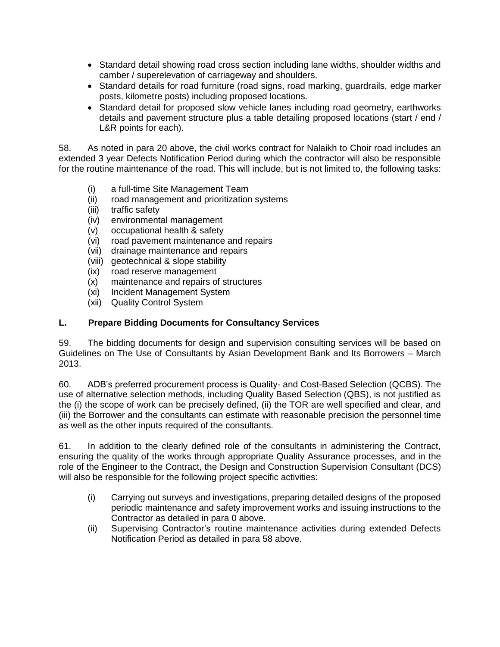- Standard detail showing road cross section including lane widths, shoulder widths and camber / superelevation of carriageway and shoulders.
- Standard details for road furniture (road signs, road marking, guardrails, edge marker posts, kilometre posts) including proposed locations.
- Standard detail for proposed slow vehicle lanes including road geometry, earthworks details and pavement structure plus a table detailing proposed locations (start / end / L&R points for each).

58. As noted in para [20 above,](#page-8-1) the civil works contract for Nalaikh to Choir road includes an extended 3 year Defects Notification Period during which the contractor will also be responsible for the routine maintenance of the road. This will include, but is not limited to, the following tasks:

- <span id="page-16-0"></span>(i) a full-time Site Management Team
- (ii) road management and prioritization systems
- (iii) traffic safety
- (iv) environmental management
- (v) occupational health & safety
- (vi) road pavement maintenance and repairs
- (vii) drainage maintenance and repairs
- (viii) geotechnical & slope stability
- (ix) road reserve management
- (x) maintenance and repairs of structures
- (xi) Incident Management System
- (xii) Quality Control System

#### **L. Prepare Bidding Documents for Consultancy Services**

59. The bidding documents for design and supervision consulting services will be based on Guidelines on The Use of Consultants by Asian Development Bank and Its Borrowers – March 2013.

60. ADB's preferred procurement process is Quality- and Cost-Based Selection (QCBS). The use of alternative selection methods, including Quality Based Selection (QBS), is not justified as the (i) the scope of work can be precisely defined, (ii) the TOR are well specified and clear, and (iii) the Borrower and the consultants can estimate with reasonable precision the personnel time as well as the other inputs required of the consultants.

61. In addition to the clearly defined role of the consultants in administering the Contract, ensuring the quality of the works through appropriate Quality Assurance processes, and in the role of the Engineer to the Contract, the Design and Construction Supervision Consultant (DCS) will also be responsible for the following project specific activities:

- (i) Carrying out surveys and investigations, preparing detailed designs of the proposed periodic maintenance and safety improvement works and issuing instructions to the Contractor as detailed in para [0 above.](#page-14-0)
- (ii) Supervising Contractor's routine maintenance activities during extended Defects Notification Period as detailed in para [58 above.](#page-16-0)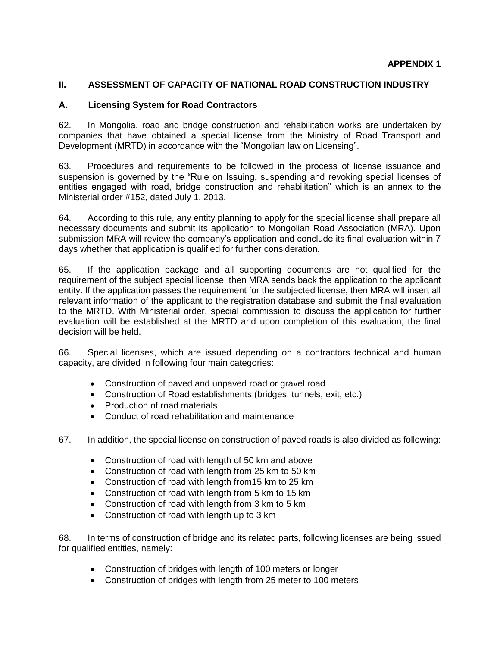#### **II. ASSESSMENT OF CAPACITY OF NATIONAL ROAD CONSTRUCTION INDUSTRY**

#### **A. Licensing System for Road Contractors**

62. In Mongolia, road and bridge construction and rehabilitation works are undertaken by companies that have obtained a special license from the Ministry of Road Transport and Development (MRTD) in accordance with the "Mongolian law on Licensing".

63. Procedures and requirements to be followed in the process of license issuance and suspension is governed by the "Rule on Issuing, suspending and revoking special licenses of entities engaged with road, bridge construction and rehabilitation" which is an annex to the Ministerial order #152, dated July 1, 2013.

64. According to this rule, any entity planning to apply for the special license shall prepare all necessary documents and submit its application to Mongolian Road Association (MRA). Upon submission MRA will review the company's application and conclude its final evaluation within 7 days whether that application is qualified for further consideration.

65. If the application package and all supporting documents are not qualified for the requirement of the subject special license, then MRA sends back the application to the applicant entity. If the application passes the requirement for the subjected license, then MRA will insert all relevant information of the applicant to the registration database and submit the final evaluation to the MRTD. With Ministerial order, special commission to discuss the application for further evaluation will be established at the MRTD and upon completion of this evaluation; the final decision will be held.

66. Special licenses, which are issued depending on a contractors technical and human capacity, are divided in following four main categories:

- Construction of paved and unpaved road or gravel road
- Construction of Road establishments (bridges, tunnels, exit, etc.)
- Production of road materials
- Conduct of road rehabilitation and maintenance
- 67. In addition, the special license on construction of paved roads is also divided as following:
	- Construction of road with length of 50 km and above
	- Construction of road with length from 25 km to 50 km
	- Construction of road with length from15 km to 25 km
	- Construction of road with length from 5 km to 15 km
	- Construction of road with length from 3 km to 5 km
	- Construction of road with length up to 3 km

68. In terms of construction of bridge and its related parts, following licenses are being issued for qualified entities, namely:

- Construction of bridges with length of 100 meters or longer
- Construction of bridges with length from 25 meter to 100 meters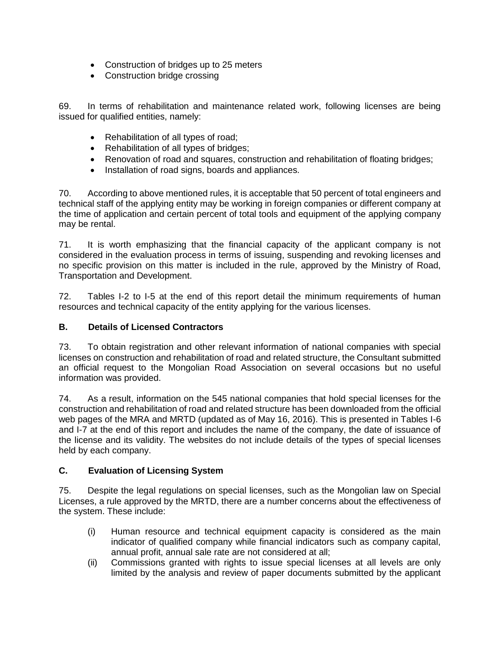- Construction of bridges up to 25 meters
- Construction bridge crossing

69. In terms of rehabilitation and maintenance related work, following licenses are being issued for qualified entities, namely:

- Rehabilitation of all types of road;
- Rehabilitation of all types of bridges;
- Renovation of road and squares, construction and rehabilitation of floating bridges;
- Installation of road signs, boards and appliances.

70. According to above mentioned rules, it is acceptable that 50 percent of total engineers and technical staff of the applying entity may be working in foreign companies or different company at the time of application and certain percent of total tools and equipment of the applying company may be rental.

71. It is worth emphasizing that the financial capacity of the applicant company is not considered in the evaluation process in terms of issuing, suspending and revoking licenses and no specific provision on this matter is included in the rule, approved by the Ministry of Road, Transportation and Development.

72. Tables I-2 to I-5 at the end of this report detail the minimum requirements of human resources and technical capacity of the entity applying for the various licenses.

#### **B. Details of Licensed Contractors**

73. To obtain registration and other relevant information of national companies with special licenses on construction and rehabilitation of road and related structure, the Consultant submitted an official request to the Mongolian Road Association on several occasions but no useful information was provided.

74. As a result, information on the 545 national companies that hold special licenses for the construction and rehabilitation of road and related structure has been downloaded from the official web pages of the MRA and MRTD (updated as of May 16, 2016). This is presented in Tables I-6 and I-7 at the end of this report and includes the name of the company, the date of issuance of the license and its validity. The websites do not include details of the types of special licenses held by each company.

#### **C. Evaluation of Licensing System**

75. Despite the legal regulations on special licenses, such as the Mongolian law on Special Licenses, a rule approved by the MRTD, there are a number concerns about the effectiveness of the system. These include:

- (i) Human resource and technical equipment capacity is considered as the main indicator of qualified company while financial indicators such as company capital, annual profit, annual sale rate are not considered at all;
- (ii) Commissions granted with rights to issue special licenses at all levels are only limited by the analysis and review of paper documents submitted by the applicant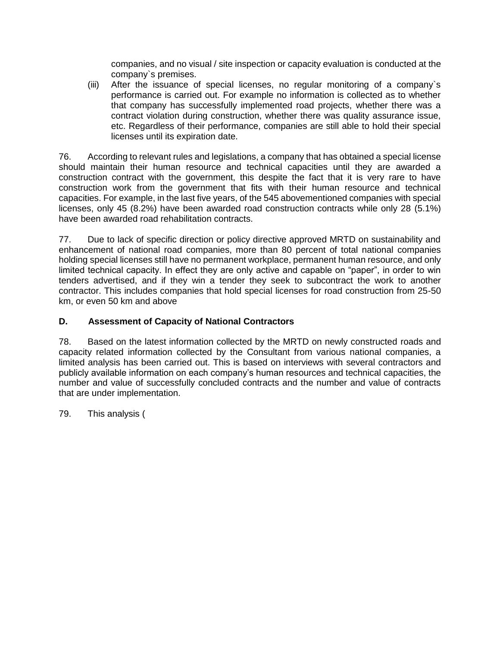companies, and no visual / site inspection or capacity evaluation is conducted at the company`s premises.

(iii) After the issuance of special licenses, no regular monitoring of a company`s performance is carried out. For example no information is collected as to whether that company has successfully implemented road projects, whether there was a contract violation during construction, whether there was quality assurance issue, etc. Regardless of their performance, companies are still able to hold their special licenses until its expiration date.

76. According to relevant rules and legislations, a company that has obtained a special license should maintain their human resource and technical capacities until they are awarded a construction contract with the government, this despite the fact that it is very rare to have construction work from the government that fits with their human resource and technical capacities. For example, in the last five years, of the 545 abovementioned companies with special licenses, only 45 (8.2%) have been awarded road construction contracts while only 28 (5.1%) have been awarded road rehabilitation contracts.

77. Due to lack of specific direction or policy directive approved MRTD on sustainability and enhancement of national road companies, more than 80 percent of total national companies holding special licenses still have no permanent workplace, permanent human resource, and only limited technical capacity. In effect they are only active and capable on "paper", in order to win tenders advertised, and if they win a tender they seek to subcontract the work to another contractor. This includes companies that hold special licenses for road construction from 25-50 km, or even 50 km and above

# **D. Assessment of Capacity of National Contractors**

78. Based on the latest information collected by the MRTD on newly constructed roads and capacity related information collected by the Consultant from various national companies, a limited analysis has been carried out. This is based on interviews with several contractors and publicly available information on each company's human resources and technical capacities, the number and value of successfully concluded contracts and the number and value of contracts that are under implementation.

79. This analysis [\(](#page-20-0)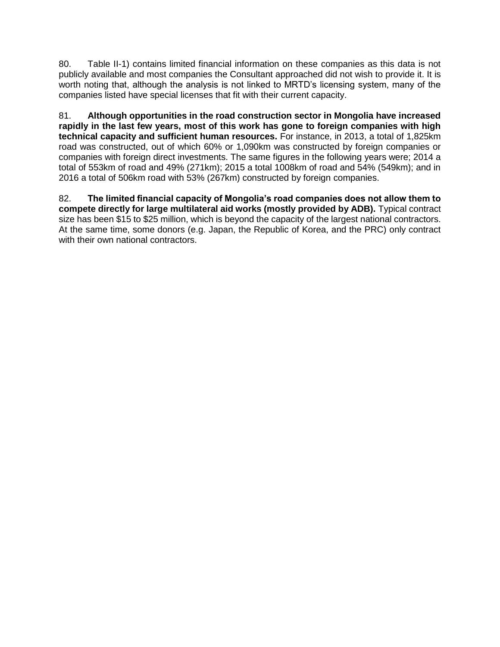80. [Table II-1\)](#page-20-0) contains limited financial information on these companies as this data is not publicly available and most companies the Consultant approached did not wish to provide it. It is worth noting that, although the analysis is not linked to MRTD's licensing system, many of the companies listed have special licenses that fit with their current capacity.

81. **Although opportunities in the road construction sector in Mongolia have increased rapidly in the last few years, most of this work has gone to foreign companies with high technical capacity and sufficient human resources.** For instance, in 2013, a total of 1,825km road was constructed, out of which 60% or 1,090km was constructed by foreign companies or companies with foreign direct investments. The same figures in the following years were; 2014 a total of 553km of road and 49% (271km); 2015 a total 1008km of road and 54% (549km); and in 2016 a total of 506km road with 53% (267km) constructed by foreign companies.

<span id="page-20-0"></span>82. **The limited financial capacity of Mongolia's road companies does not allow them to compete directly for large multilateral aid works (mostly provided by ADB).** Typical contract size has been \$15 to \$25 million, which is beyond the capacity of the largest national contractors. At the same time, some donors (e.g. Japan, the Republic of Korea, and the PRC) only contract with their own national contractors.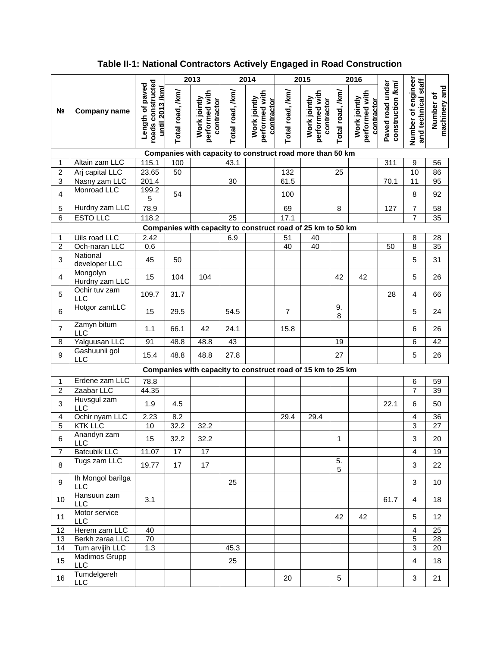# **Table II-1: National Contractors Actively Engaged in Road Construction**

|                |                              |                                                                |                  | 2013                                         |                  | 2014                                         |                  | 2015                                                        |                  | 2016                                         |                                       |                                           |                            |
|----------------|------------------------------|----------------------------------------------------------------|------------------|----------------------------------------------|------------------|----------------------------------------------|------------------|-------------------------------------------------------------|------------------|----------------------------------------------|---------------------------------------|-------------------------------------------|----------------------------|
| N <sub>2</sub> | Company name                 | roads constructed<br>Length of paved<br><u>until 2013 /km/</u> | Total road, /km/ | performed with<br>Work jointly<br>contractor | Total road, /km/ | performed with<br>Work jointly<br>contractor | Total road, /km/ | performed with<br>Work jointly<br>contractor                | Total road, /km/ | performed with<br>Work jointly<br>contractor | Paved road under<br>construction /km/ | Number of engineer<br>and technical staff | machinery and<br>Number of |
|                |                              |                                                                |                  |                                              |                  |                                              |                  | Companies with capacity to construct road more than 50 km   |                  |                                              |                                       |                                           |                            |
| 1              | Altain zam LLC               | 115.1                                                          | 100              |                                              | 43.1             |                                              |                  |                                                             |                  |                                              | 311                                   | $\boldsymbol{9}$                          | 56                         |
| $\overline{2}$ | Arj capital LLC              | 23.65                                                          | 50               |                                              |                  |                                              | 132              |                                                             | 25               |                                              |                                       | 10                                        | 86                         |
| $\overline{3}$ | Nasny zam LLC<br>Monroad LLC | 201.4<br>199.2                                                 |                  |                                              | 30               |                                              | 61.5             |                                                             |                  |                                              | 70.1                                  | 11                                        | 95                         |
| $\overline{4}$ |                              | 5                                                              | 54               |                                              |                  |                                              | 100              |                                                             |                  |                                              |                                       | 8                                         | 92                         |
| 5              | Hurdny zam LLC               | 78.9                                                           |                  |                                              |                  |                                              | 69               |                                                             | 8                |                                              | 127                                   | $\overline{7}$                            | 58                         |
| 6              | <b>ESTO LLC</b>              | 118.2                                                          |                  |                                              | 25               |                                              | 17.1             |                                                             |                  |                                              |                                       | $\overline{7}$                            | 35                         |
|                |                              |                                                                |                  |                                              |                  |                                              |                  | Companies with capacity to construct road of 25 km to 50 km |                  |                                              |                                       |                                           |                            |
| 1              | Uils road LLC                | 2.42                                                           |                  |                                              | 6.9              |                                              | $\overline{51}$  | 40                                                          |                  |                                              |                                       | 8                                         | 28                         |
| $\overline{2}$ | Och-naran LLC<br>National    | 0.6                                                            |                  |                                              |                  |                                              | 40               | 40                                                          |                  |                                              | 50                                    | 8                                         | 35                         |
| 3              | developer LLC                | 45                                                             | 50               |                                              |                  |                                              |                  |                                                             |                  |                                              |                                       | $\sqrt{5}$                                | 31                         |
| $\overline{4}$ | Mongolyn<br>Hurdny zam LLC   | 15                                                             | 104              | 104                                          |                  |                                              |                  |                                                             | 42               | 42                                           |                                       | 5                                         | 26                         |
| 5              | Ochir tuv zam<br><b>LLC</b>  | 109.7                                                          | 31.7             |                                              |                  |                                              |                  |                                                             |                  |                                              | 28                                    | $\overline{\mathbf{4}}$                   | 66                         |
| 6              | Hotgor zamLLC                | 15                                                             | 29.5             |                                              | 54.5             |                                              | $\overline{7}$   |                                                             | 9.<br>8          |                                              |                                       | $\sqrt{5}$                                | 24                         |
| $\overline{7}$ | Zamyn bitum<br>LLC           | 1.1                                                            | 66.1             | 42                                           | 24.1             |                                              | 15.8             |                                                             |                  |                                              |                                       | 6                                         | 26                         |
| 8              | Yalguusan LLC                | 91                                                             | 48.8             | 48.8                                         | 43               |                                              |                  |                                                             | 19               |                                              |                                       | 6                                         | 42                         |
| 9              | Gashuunii gol<br><b>LLC</b>  | 15.4                                                           | 48.8             | 48.8                                         | 27.8             |                                              |                  |                                                             | 27               |                                              |                                       | 5                                         | 26                         |
|                |                              |                                                                |                  |                                              |                  |                                              |                  | Companies with capacity to construct road of 15 km to 25 km |                  |                                              |                                       |                                           |                            |
| 1              | Erdene zam LLC               | 78.8                                                           |                  |                                              |                  |                                              |                  |                                                             |                  |                                              |                                       | $\,6$                                     | 59                         |
| $\overline{2}$ | Zaabar LLC                   | 44.35                                                          |                  |                                              |                  |                                              |                  |                                                             |                  |                                              |                                       | $\overline{7}$                            | 39                         |
| 3              | Huvsgul zam<br>LLC           | 1.9                                                            | 4.5              |                                              |                  |                                              |                  |                                                             |                  |                                              | 22.1                                  | 6                                         | 50                         |
| 4              | Ochir nyam LLC               | 2.23                                                           | 8.2              |                                              |                  |                                              | 29.4             | 29.4                                                        |                  |                                              |                                       | 4                                         | 36                         |
| 5              | <b>KTK LLC</b>               | 10                                                             | 32.2             | 32.2                                         |                  |                                              |                  |                                                             |                  |                                              |                                       | $\overline{3}$                            | 27                         |
| 6              | Anandyn zam<br><b>LLC</b>    | 15                                                             | 32.2             | 32.2                                         |                  |                                              |                  |                                                             | 1                |                                              |                                       | 3                                         | 20                         |
| $\overline{7}$ | <b>Batcubik LLC</b>          | 11.07                                                          | 17               | 17                                           |                  |                                              |                  |                                                             |                  |                                              |                                       | $\overline{4}$                            | 19                         |
| 8              | Tugs zam LLC                 | 19.77                                                          | 17               | 17                                           |                  |                                              |                  |                                                             | 5.<br>5          |                                              |                                       | $\mathbf{3}$                              | 22                         |
| 9              | Ih Mongol barilga<br>LLC     |                                                                |                  |                                              | 25               |                                              |                  |                                                             |                  |                                              |                                       | 3                                         | 10                         |
| 10             | Hansuun zam<br><b>LLC</b>    | 3.1                                                            |                  |                                              |                  |                                              |                  |                                                             |                  |                                              | 61.7                                  | $\overline{\mathbf{4}}$                   | 18                         |
| 11             | Motor service<br><b>LLC</b>  |                                                                |                  |                                              |                  |                                              |                  |                                                             | 42               | 42                                           |                                       | 5                                         | 12                         |
| 12             | Herem zam LLC                | 40                                                             |                  |                                              |                  |                                              |                  |                                                             |                  |                                              |                                       | $\overline{\mathbf{4}}$                   | 25                         |
| 13             | Berkh zaraa LLC              | 70                                                             |                  |                                              |                  |                                              |                  |                                                             |                  |                                              |                                       | $\overline{5}$                            | 28                         |
| 14             | Tum arvijih LLC              | 1.3                                                            |                  |                                              | 45.3             |                                              |                  |                                                             |                  |                                              |                                       | $\overline{3}$                            | 20                         |
| 15             | Madimos Grupp<br>LLC         |                                                                |                  |                                              | 25               |                                              |                  |                                                             |                  |                                              |                                       | $\overline{\mathbf{4}}$                   | 18                         |
| 16             | Tumdelgereh<br><b>LLC</b>    |                                                                |                  |                                              |                  |                                              | 20               |                                                             | 5                |                                              |                                       | 3                                         | 21                         |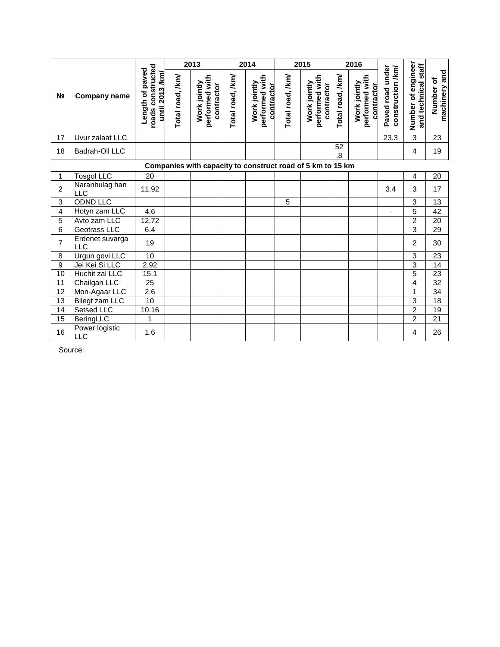|                 |                              |                                                         |                  | 2013                                         |                  | 2014                                                       |                  | 2015                                         |                               | 2016                                         |                                       |                                           |                            |
|-----------------|------------------------------|---------------------------------------------------------|------------------|----------------------------------------------|------------------|------------------------------------------------------------|------------------|----------------------------------------------|-------------------------------|----------------------------------------------|---------------------------------------|-------------------------------------------|----------------------------|
| N <sub>2</sub>  | <b>Company name</b>          | roads constructed<br>Length of paved<br>until 2013 /km/ | Total road, /km/ | performed with<br>Work jointly<br>contractor | Total road, /km/ | performed with<br>Work jointly<br>contractor               | Total road, /km/ | performed with<br>Work jointly<br>contractor | Total road, /km/              | performed with<br>Work jointly<br>contractor | Paved road under<br>construction /km/ | Number of engineer<br>and technical staff | machinery and<br>Number of |
| 17              | Uvur zalaat LLC              |                                                         |                  |                                              |                  |                                                            |                  |                                              |                               |                                              | 23.3                                  | $\overline{3}$                            | 23                         |
| 18              | Badrah-Oil LLC               |                                                         |                  |                                              |                  |                                                            |                  |                                              | 52<br>$\overline{\mathbf{8}}$ |                                              |                                       | 4                                         | 19                         |
|                 |                              |                                                         |                  |                                              |                  | Companies with capacity to construct road of 5 km to 15 km |                  |                                              |                               |                                              |                                       |                                           |                            |
| 1               | <b>Tosgol LLC</b>            | 20                                                      |                  |                                              |                  |                                                            |                  |                                              |                               |                                              |                                       | 4                                         | 20                         |
| $\overline{c}$  | Naranbulag han<br><b>LLC</b> | 11.92                                                   |                  |                                              |                  |                                                            |                  |                                              |                               |                                              | 3.4                                   | 3                                         | 17                         |
| 3               | ODND LLC                     |                                                         |                  |                                              |                  |                                                            | 5                |                                              |                               |                                              |                                       | 3                                         | 13                         |
| 4               | Hotyn zam LLC                | 4.6                                                     |                  |                                              |                  |                                                            |                  |                                              |                               |                                              | $\blacksquare$                        | 5                                         | 42                         |
| 5               | Avto zam LLC                 | 12.72                                                   |                  |                                              |                  |                                                            |                  |                                              |                               |                                              |                                       | $\overline{2}$                            | 20                         |
| 6               | Geotrass LLC                 | 6.4                                                     |                  |                                              |                  |                                                            |                  |                                              |                               |                                              |                                       | $\overline{3}$                            | 29                         |
| $\overline{7}$  | Erdenet suvarga<br>LLC       | 19                                                      |                  |                                              |                  |                                                            |                  |                                              |                               |                                              |                                       | $\overline{2}$                            | 30                         |
| 8               | Urgun govi LLC               | 10                                                      |                  |                                              |                  |                                                            |                  |                                              |                               |                                              |                                       | 3                                         | 23                         |
| $\overline{9}$  | Jei Kei Si LLC               | 2.92                                                    |                  |                                              |                  |                                                            |                  |                                              |                               |                                              |                                       | 3                                         | $\overline{14}$            |
| 10              | Huchit zal LLC               | 15.1                                                    |                  |                                              |                  |                                                            |                  |                                              |                               |                                              |                                       | 5                                         | 23                         |
| 11              | Chailgan LLC                 | 25                                                      |                  |                                              |                  |                                                            |                  |                                              |                               |                                              |                                       | 4                                         | 32                         |
| 12              | Mon-Agaar LLC                | $\overline{2.6}$                                        |                  |                                              |                  |                                                            |                  |                                              |                               |                                              |                                       | 1                                         | 34                         |
| 13              | Bilegt zam LLC               | 10                                                      |                  |                                              |                  |                                                            |                  |                                              |                               |                                              |                                       | 3                                         | 18                         |
| 14              | Setsed LLC                   | 10.16                                                   |                  |                                              |                  |                                                            |                  |                                              |                               |                                              |                                       | $\overline{c}$                            | 19                         |
| $\overline{15}$ | BeringLLC                    | 1                                                       |                  |                                              |                  |                                                            |                  |                                              |                               |                                              |                                       | $\overline{2}$                            | $\overline{21}$            |
| 16              | Power logistic<br>LLC        | 1.6                                                     |                  |                                              |                  |                                                            |                  |                                              |                               |                                              |                                       | 4                                         | 26                         |

Source: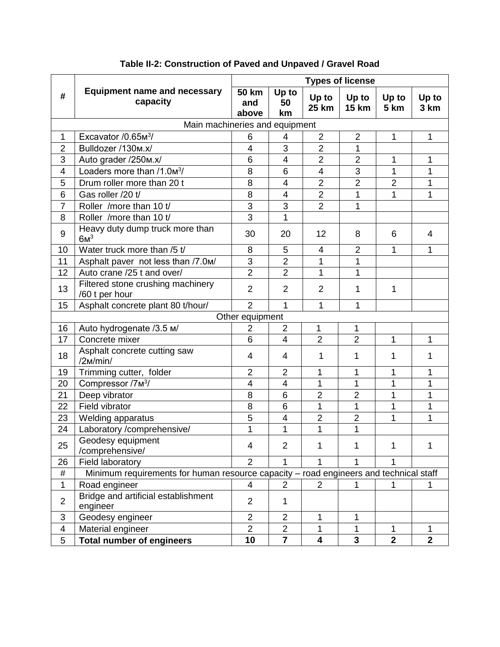|                         |                                                                                       |                              |                   |                       | <b>Types of license</b> |                |                |
|-------------------------|---------------------------------------------------------------------------------------|------------------------------|-------------------|-----------------------|-------------------------|----------------|----------------|
| #                       | <b>Equipment name and necessary</b><br>capacity                                       | <b>50 km</b><br>and<br>above | Up to<br>50<br>km | Up to<br><b>25 km</b> | Up to<br><b>15 km</b>   | Up to<br>5 km  | Up to<br>3 km  |
|                         | Main machineries and equipment                                                        |                              |                   |                       |                         |                |                |
| 1                       | Excavator $/0.65M3$                                                                   | 6                            | 4                 | $\overline{2}$        | $\overline{2}$          | 1              | 1              |
| $\overline{2}$          | Bulldozer /130m.x/                                                                    | $\overline{4}$               | 3                 | $\overline{2}$        | 1                       |                |                |
| 3                       | Auto grader /250m.x/                                                                  | 6                            | 4                 | $\overline{2}$        | $\overline{2}$          | 1              | 1              |
| 4                       | Loaders more than $/1.03$                                                             | 8                            | 6                 | 4                     | 3                       | 1              | 1              |
| 5                       | Drum roller more than 20 t                                                            | 8                            | 4                 | $\overline{2}$        | $\overline{2}$          | $\overline{2}$ | 1              |
| 6                       | Gas roller /20 t/                                                                     | 8                            | 4                 | $\overline{2}$        | 1                       | 1              | 1              |
| $\overline{7}$          | Roller / more than 10 t/                                                              | 3                            | 3                 | $\overline{2}$        | 1                       |                |                |
| 8                       | Roller /more than 10 t/                                                               | $\overline{3}$               | 1                 |                       |                         |                |                |
| 9                       | Heavy duty dump truck more than<br>6M <sup>3</sup>                                    | 30                           | 20                | 12                    | 8                       | 6              | $\overline{4}$ |
| 10                      | Water truck more than /5 t/                                                           | 8                            | 5                 | 4                     | $\overline{2}$          | 1              | 1              |
| 11                      | Asphalt paver not less than /7.0m/                                                    | 3                            | $\overline{2}$    | 1                     | 1                       |                |                |
| 12                      | Auto crane /25 t and over/                                                            | $\overline{2}$               | $\overline{2}$    | 1                     | 1                       |                |                |
| 13                      | Filtered stone crushing machinery<br>/60 t per hour                                   | $\overline{2}$               | $\overline{2}$    | $\overline{2}$        | 1                       | 1              |                |
| 15                      | Asphalt concrete plant 80 t/hour/                                                     | $\overline{2}$               | 1                 | 1                     | 1                       |                |                |
|                         |                                                                                       | Other equipment              |                   |                       |                         |                |                |
| 16                      | Auto hydrogenate /3.5 M/                                                              | $\overline{2}$               | $\overline{2}$    | $\mathbf{1}$          | $\mathbf{1}$            |                |                |
| 17                      | Concrete mixer                                                                        | 6                            | $\overline{4}$    | $\overline{2}$        | $\overline{2}$          | 1              | 1              |
| 18                      | Asphalt concrete cutting saw<br>/2M/min/                                              | 4                            | 4                 | 1                     | 1                       | 1              | 1              |
| 19                      | Trimming cutter, folder                                                               | $\overline{2}$               | $\overline{2}$    | 1                     | 1                       | 1              | 1              |
| 20                      | Compressor /7 <sub>M</sub> <sup>3</sup> /                                             | $\overline{4}$               | 4                 | 1                     | 1                       | 1              | 1              |
| 21                      | Deep vibrator                                                                         | 8                            | 6                 | $\overline{2}$        | $\overline{2}$          | $\overline{1}$ | 1              |
| 22                      | Field vibrator                                                                        | 8                            | 6                 | 1                     | $\mathbf 1$             | 1              | 1              |
| 23                      | Welding apparatus                                                                     | 5                            | 4                 | $\overline{2}$        | $\overline{2}$          | 1              | 1              |
| 24                      | Laboratory /comprehensive/                                                            | 1                            | 1                 | 1                     | 1                       |                |                |
| 25                      | Geodesy equipment<br>/comprehensive/                                                  | 4                            | $\overline{2}$    | 1                     | 1                       | 1              | 1              |
| 26                      | Field laboratory                                                                      | $\overline{2}$               | 1                 | 1                     | 1                       | 1              |                |
| $\#$                    | Minimum requirements for human resource capacity - road engineers and technical staff |                              |                   |                       |                         |                |                |
| $\mathbf 1$             | Road engineer                                                                         | $\overline{4}$               | $\overline{2}$    | 2                     | 1                       | 1              | 1              |
| $\overline{2}$          | Bridge and artificial establishment<br>engineer                                       | $\overline{2}$               | 1                 |                       |                         |                |                |
| 3                       | Geodesy engineer                                                                      | $\overline{2}$               | $\overline{2}$    | 1                     | 1                       |                |                |
| $\overline{\mathbf{4}}$ | Material engineer                                                                     | $\overline{2}$               | $\overline{2}$    | 1                     | 1                       | 1              | 1              |
| 5                       | <b>Total number of engineers</b>                                                      | 10                           | $\overline{7}$    | 4                     | $\overline{\mathbf{3}}$ | $\overline{2}$ | $\overline{2}$ |

# **Table II-2: Construction of Paved and Unpaved / Gravel Road**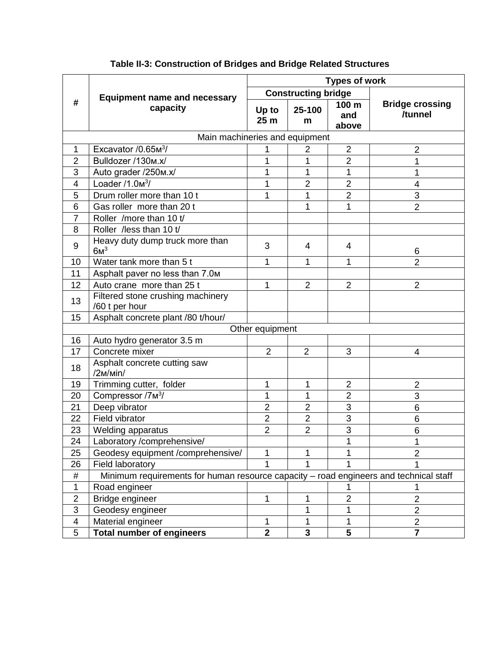|                         |                                                                                       | <b>Types of work</b>     |                            |                       |                                   |  |  |  |
|-------------------------|---------------------------------------------------------------------------------------|--------------------------|----------------------------|-----------------------|-----------------------------------|--|--|--|
|                         | <b>Equipment name and necessary</b>                                                   |                          | <b>Constructing bridge</b> |                       |                                   |  |  |  |
| #                       | capacity                                                                              | Up to<br>25 <sub>m</sub> | 25-100<br>m                | 100 m<br>and<br>above | <b>Bridge crossing</b><br>/tunnel |  |  |  |
|                         | Main machineries and equipment                                                        |                          |                            |                       |                                   |  |  |  |
| 1                       | Excavator / 0.65 M <sup>3</sup> /                                                     | 1                        | $\overline{2}$             | $\overline{2}$        | $\overline{2}$                    |  |  |  |
| $\overline{2}$          | Bulldozer /130m.x/                                                                    | 1                        | 1                          | $\overline{2}$        | 1                                 |  |  |  |
| 3                       | Auto grader /250m.x/                                                                  | 1                        | 1                          | 1                     | 1                                 |  |  |  |
| $\overline{4}$          | Loader $/1.0m3$                                                                       | 1                        | $\overline{2}$             | $\overline{2}$        | 4                                 |  |  |  |
| 5                       | Drum roller more than 10 t                                                            | 1                        | 1                          | $\overline{2}$        | 3                                 |  |  |  |
| 6                       | Gas roller more than 20 t                                                             |                          | 1                          | 1                     | $\overline{2}$                    |  |  |  |
| $\overline{7}$          | Roller /more than 10 t/                                                               |                          |                            |                       |                                   |  |  |  |
| 8                       | Roller /less than 10 t/                                                               |                          |                            |                       |                                   |  |  |  |
| 9                       | Heavy duty dump truck more than<br>6M <sup>3</sup>                                    | 3                        | 4                          | 4                     | 6                                 |  |  |  |
| 10                      | Water tank more than 5 t                                                              | 1                        | 1                          | 1                     | $\overline{2}$                    |  |  |  |
| 11                      | Asphalt paver no less than 7.0m                                                       |                          |                            |                       |                                   |  |  |  |
| 12                      | Auto crane more than 25 t                                                             | 1                        | $\overline{2}$             | 2                     | $\overline{2}$                    |  |  |  |
| 13                      | Filtered stone crushing machinery<br>/60 t per hour                                   |                          |                            |                       |                                   |  |  |  |
| 15                      | Asphalt concrete plant /80 t/hour/                                                    |                          |                            |                       |                                   |  |  |  |
|                         |                                                                                       | Other equipment          |                            |                       |                                   |  |  |  |
| 16                      | Auto hydro generator 3.5 m                                                            |                          |                            |                       |                                   |  |  |  |
| 17                      | Concrete mixer                                                                        | $\overline{2}$           | $\overline{2}$             | 3                     | 4                                 |  |  |  |
| 18                      | Asphalt concrete cutting saw<br>/2M/min/                                              |                          |                            |                       |                                   |  |  |  |
| 19                      | Trimming cutter, folder                                                               | 1                        | 1                          | $\overline{2}$        | $\overline{2}$                    |  |  |  |
| 20                      | Compressor /7M3/                                                                      | 1                        | 1                          | $\overline{2}$        | 3                                 |  |  |  |
| 21                      | Deep vibrator                                                                         | $\overline{2}$           | $\overline{2}$             | 3                     | 6                                 |  |  |  |
| 22                      | Field vibrator                                                                        | $\overline{2}$           | $\overline{2}$             | 3                     | 6                                 |  |  |  |
| 23                      | <b>Welding apparatus</b>                                                              | $\overline{2}$           | $\overline{2}$             | $\overline{3}$        | 6                                 |  |  |  |
| 24                      | Laboratory / comprehensive/                                                           |                          |                            |                       | 1                                 |  |  |  |
| 25                      | Geodesy equipment /comprehensive/                                                     | 1                        | 1                          |                       | $\overline{2}$                    |  |  |  |
| 26                      | Field laboratory                                                                      | 1                        | 1                          |                       |                                   |  |  |  |
| #                       | Minimum requirements for human resource capacity - road engineers and technical staff |                          |                            |                       |                                   |  |  |  |
| 1                       | Road engineer                                                                         |                          |                            | 1                     |                                   |  |  |  |
| $\overline{2}$          | Bridge engineer                                                                       | 1                        | 1                          | $\overline{2}$        | $\overline{2}$                    |  |  |  |
| $\overline{3}$          | Geodesy engineer                                                                      |                          | 1                          | 1                     | $\overline{c}$                    |  |  |  |
| $\overline{\mathbf{4}}$ | Material engineer                                                                     | $\mathbf 1$              | 1                          | 1                     | $\overline{c}$                    |  |  |  |
| 5                       | <b>Total number of engineers</b>                                                      | $\overline{2}$           | $\overline{\mathbf{3}}$    | $\overline{5}$        | $\overline{\mathbf{7}}$           |  |  |  |

# **Table II-3: Construction of Bridges and Bridge Related Structures**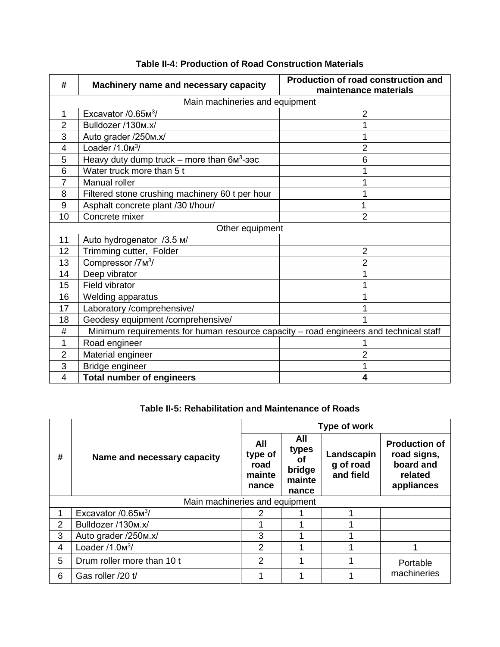| #              | Machinery name and necessary capacity                                                 | <b>Production of road construction and</b><br>maintenance materials |  |  |  |  |  |
|----------------|---------------------------------------------------------------------------------------|---------------------------------------------------------------------|--|--|--|--|--|
|                | Main machineries and equipment                                                        |                                                                     |  |  |  |  |  |
| 1              | Excavator $/0.65M3$                                                                   | 2                                                                   |  |  |  |  |  |
| $\overline{2}$ | Bulldozer /130m.x/                                                                    |                                                                     |  |  |  |  |  |
| 3              | Auto grader /250m.x/                                                                  |                                                                     |  |  |  |  |  |
| 4              | Loader $/1.03$                                                                        | $\overline{2}$                                                      |  |  |  |  |  |
| 5              | Heavy duty dump truck – more than $6M^3$ -aac                                         | 6                                                                   |  |  |  |  |  |
| 6              | Water truck more than 5 t                                                             |                                                                     |  |  |  |  |  |
| $\overline{7}$ | Manual roller                                                                         |                                                                     |  |  |  |  |  |
| 8              | Filtered stone crushing machinery 60 t per hour                                       |                                                                     |  |  |  |  |  |
| 9              | Asphalt concrete plant /30 t/hour/                                                    | 1                                                                   |  |  |  |  |  |
| 10             | Concrete mixer                                                                        | $\overline{2}$                                                      |  |  |  |  |  |
|                | Other equipment                                                                       |                                                                     |  |  |  |  |  |
| 11             | Auto hydrogenator /3.5 M/                                                             |                                                                     |  |  |  |  |  |
| 12             | Trimming cutter, Folder                                                               | $\overline{2}$                                                      |  |  |  |  |  |
| 13             | Compressor /7 <sub>M<sup>3</sup>/</sub>                                               | $\overline{2}$                                                      |  |  |  |  |  |
| 14             | Deep vibrator                                                                         |                                                                     |  |  |  |  |  |
| 15             | Field vibrator                                                                        |                                                                     |  |  |  |  |  |
| 16             | Welding apparatus                                                                     |                                                                     |  |  |  |  |  |
| 17             | Laboratory /comprehensive/                                                            |                                                                     |  |  |  |  |  |
| 18             | Geodesy equipment /comprehensive/                                                     |                                                                     |  |  |  |  |  |
| #              | Minimum requirements for human resource capacity - road engineers and technical staff |                                                                     |  |  |  |  |  |
| 1              | Road engineer                                                                         |                                                                     |  |  |  |  |  |
| 2              | Material engineer                                                                     | 2                                                                   |  |  |  |  |  |
| 3              | Bridge engineer                                                                       |                                                                     |  |  |  |  |  |
| 4              | <b>Total number of engineers</b>                                                      | 4                                                                   |  |  |  |  |  |

# **Table II-4: Production of Road Construction Materials**

**Table II-5: Rehabilitation and Maintenance of Roads**

|   |                                | Type of work                              |                                                 |                                      |                                                                           |  |  |  |
|---|--------------------------------|-------------------------------------------|-------------------------------------------------|--------------------------------------|---------------------------------------------------------------------------|--|--|--|
| # | Name and necessary capacity    | All<br>type of<br>road<br>mainte<br>nance | All<br>types<br>οt<br>bridge<br>mainte<br>nance | Landscapin<br>g of road<br>and field | <b>Production of</b><br>road signs,<br>board and<br>related<br>appliances |  |  |  |
|   | Main machineries and equipment |                                           |                                                 |                                      |                                                                           |  |  |  |
|   | Excavator $/0.65M3$            |                                           |                                                 |                                      |                                                                           |  |  |  |
| 2 | Bulldozer /130m.x/             |                                           |                                                 |                                      |                                                                           |  |  |  |
| 3 | Auto grader /250m.x/           | 3                                         |                                                 |                                      |                                                                           |  |  |  |
| 4 | Loader $/1.0m^3/$              | $\mathfrak{p}$                            |                                                 |                                      |                                                                           |  |  |  |
| 5 | Drum roller more than 10 t     | $\mathfrak{p}$                            |                                                 |                                      | Portable                                                                  |  |  |  |
| 6 | Gas roller /20 t/              |                                           |                                                 |                                      | machineries                                                               |  |  |  |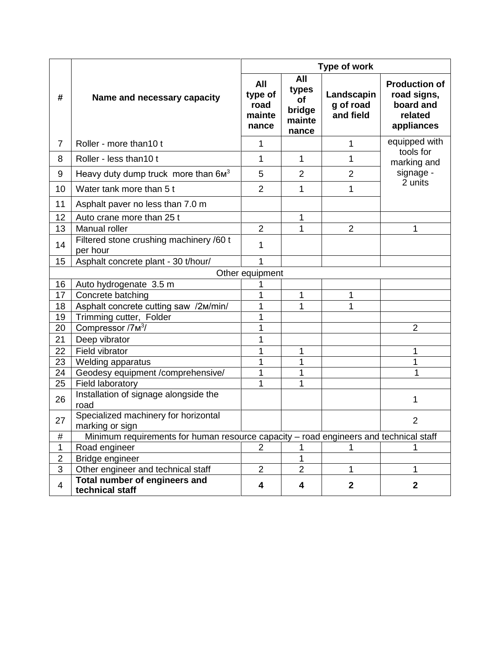|                         |                                                                                       | <b>Type of work</b>                       |                                                 |                                      |                                                                           |  |
|-------------------------|---------------------------------------------------------------------------------------|-------------------------------------------|-------------------------------------------------|--------------------------------------|---------------------------------------------------------------------------|--|
| #                       | Name and necessary capacity                                                           | All<br>type of<br>road<br>mainte<br>nance | All<br>types<br>of<br>bridge<br>mainte<br>nance | Landscapin<br>g of road<br>and field | <b>Production of</b><br>road signs,<br>board and<br>related<br>appliances |  |
| $\overline{7}$          | Roller - more than 10 t                                                               | 1                                         |                                                 | 1                                    | equipped with                                                             |  |
| 8                       | Roller - less than 10 t                                                               | 1                                         | 1                                               | 1                                    | tools for<br>marking and                                                  |  |
| 9                       | Heavy duty dump truck more than $6M3$                                                 | 5                                         | $\overline{2}$                                  | $\overline{2}$                       | signage -                                                                 |  |
| 10                      | Water tank more than 5 t                                                              | $\overline{2}$                            | 1                                               | 1                                    | 2 units                                                                   |  |
| 11                      | Asphalt paver no less than 7.0 m                                                      |                                           |                                                 |                                      |                                                                           |  |
| 12                      | Auto crane more than 25 t                                                             |                                           | 1                                               |                                      |                                                                           |  |
| 13                      | Manual roller                                                                         | $\overline{2}$                            |                                                 | $\overline{2}$                       | 1                                                                         |  |
| 14                      | Filtered stone crushing machinery /60 t<br>per hour                                   | 1                                         |                                                 |                                      |                                                                           |  |
| 15                      | Asphalt concrete plant - 30 t/hour/                                                   | 1                                         |                                                 |                                      |                                                                           |  |
|                         |                                                                                       | Other equipment                           |                                                 |                                      |                                                                           |  |
| 16                      | Auto hydrogenate 3.5 m                                                                |                                           |                                                 |                                      |                                                                           |  |
| 17                      | Concrete batching                                                                     |                                           | 1                                               | 1                                    |                                                                           |  |
| 18                      | Asphalt concrete cutting saw /2M/min/                                                 |                                           |                                                 | 1                                    |                                                                           |  |
| 19                      | Trimming cutter, Folder                                                               |                                           |                                                 |                                      |                                                                           |  |
| 20                      | Compressor /7 <sub>M<sup>3</sup>/</sub>                                               |                                           |                                                 |                                      | $\overline{2}$                                                            |  |
| 21                      | Deep vibrator                                                                         | 1                                         |                                                 |                                      |                                                                           |  |
| 22                      | Field vibrator                                                                        | 1                                         | 1                                               |                                      | 1                                                                         |  |
| 23                      | <b>Welding apparatus</b>                                                              |                                           |                                                 |                                      | 1                                                                         |  |
| 24                      | Geodesy equipment /comprehensive/                                                     | 1                                         | 1                                               |                                      | 1                                                                         |  |
| 25                      | Field laboratory                                                                      | 1                                         | 1                                               |                                      |                                                                           |  |
| 26                      | Installation of signage alongside the<br>road                                         |                                           |                                                 |                                      | 1                                                                         |  |
| 27                      | Specialized machinery for horizontal<br>marking or sign                               |                                           |                                                 |                                      | 2                                                                         |  |
| #                       | Minimum requirements for human resource capacity - road engineers and technical staff |                                           |                                                 |                                      |                                                                           |  |
| 1                       | Road engineer                                                                         | $\overline{2}$                            |                                                 |                                      | 1                                                                         |  |
| $\overline{\mathbf{c}}$ | Bridge engineer                                                                       |                                           |                                                 |                                      |                                                                           |  |
| 3                       | Other engineer and technical staff                                                    | $\overline{2}$                            | $\overline{2}$                                  | 1                                    | 1                                                                         |  |
| 4                       | Total number of engineers and<br>technical staff                                      | 4                                         | 4                                               | $\mathbf 2$                          | $\mathbf 2$                                                               |  |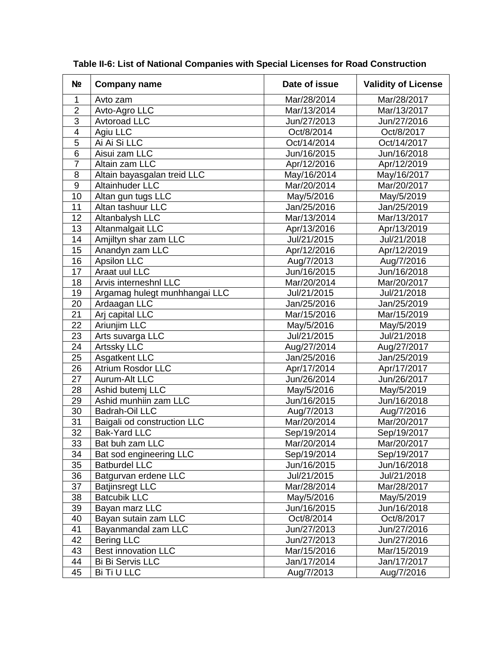| N <sub>2</sub>           | <b>Company name</b>           | Date of issue | <b>Validity of License</b> |
|--------------------------|-------------------------------|---------------|----------------------------|
| 1                        | Avto zam                      | Mar/28/2014   | Mar/28/2017                |
| $\overline{2}$           | Avto-Agro LLC                 | Mar/13/2014   | Mar/13/2017                |
| 3                        | Avtoroad LLC                  | Jun/27/2013   | Jun/27/2016                |
| $\overline{\mathcal{A}}$ | Agiu LLC                      | Oct/8/2014    | Oct/8/2017                 |
| 5                        | Ai Ai Si LLC                  | Oct/14/2014   | Oct/14/2017                |
| $\overline{6}$           | Aisui zam LLC                 | Jun/16/2015   | Jun/16/2018                |
| $\overline{7}$           | Altain zam LLC                | Apr/12/2016   | Apr/12/2019                |
| 8                        | Altain bayasgalan treid LLC   | May/16/2014   | May/16/2017                |
| $9\,$                    | Altainhuder LLC               | Mar/20/2014   | Mar/20/2017                |
| 10                       | Altan gun tugs LLC            | May/5/2016    | May/5/2019                 |
| 11                       | Altan tashuur LLC             | Jan/25/2016   | Jan/25/2019                |
| 12                       | Altanbalysh LLC               | Mar/13/2014   | Mar/13/2017                |
| 13                       | Altanmalgait LLC              | Apr/13/2016   | Apr/13/2019                |
| 14                       | Amjiltyn shar zam LLC         | Jul/21/2015   | Jul/21/2018                |
| 15                       | Anandyn zam LLC               | Apr/12/2016   | Apr/12/2019                |
| 16                       | Apsilon LLC                   | Aug/7/2013    | Aug/7/2016                 |
| 17                       | Araat uul LLC                 | Jun/16/2015   | Jun/16/2018                |
| 18                       | Arvis interneshnl LLC         | Mar/20/2014   | Mar/20/2017                |
| 19                       | Argamag hulegt munhhangai LLC | Jul/21/2015   | Jul/21/2018                |
| 20                       | Ardaagan LLC                  | Jan/25/2016   | Jan/25/2019                |
| $\overline{21}$          | Arj capital LLC               | Mar/15/2016   | Mar/15/2019                |
| 22                       | Ariunjim LLC                  | May/5/2016    | May/5/2019                 |
| 23                       | Arts suvarga LLC              | Jul/21/2015   | Jul/21/2018                |
| 24                       | <b>Artssky LLC</b>            | Aug/27/2014   | Aug/27/2017                |
| 25                       | <b>Asgatkent LLC</b>          | Jan/25/2016   | Jan/25/2019                |
| 26                       | <b>Atrium Rosdor LLC</b>      | Apr/17/2014   | Apr/17/2017                |
| 27                       | Aurum-Alt LLC                 | Jun/26/2014   | Jun/26/2017                |
| 28                       | Ashid butemj LLC              | May/5/2016    | May/5/2019                 |
| 29                       | Ashid munhiin zam LLC         | Jun/16/2015   | Jun/16/2018                |
| 30                       | <b>Badrah-Oil LLC</b>         | Aug/7/2013    | Aug/7/2016                 |
| 31                       | Baigali od construction LLC   | Mar/20/2014   | Mar/20/2017                |
| $\overline{32}$          | <b>Bak-Yard LLC</b>           | Sep/19/2014   | Sep/19/2017                |
| 33                       | Bat buh zam LLC               | Mar/20/2014   | Mar/20/2017                |
| 34                       | Bat sod engineering LLC       | Sep/19/2014   | Sep/19/2017                |
| 35                       | <b>Batburdel LLC</b>          | Jun/16/2015   | Jun/16/2018                |
| 36                       | Batgurvan erdene LLC          | Jul/21/2015   | Jul/21/2018                |
| 37                       | <b>Batjinsregt LLC</b>        | Mar/28/2014   | Mar/28/2017                |
| 38                       | <b>Batcubik LLC</b>           | May/5/2016    | May/5/2019                 |
| 39                       | Bayan marz LLC                | Jun/16/2015   | Jun/16/2018                |
| 40                       | Bayan sutain zam LLC          | Oct/8/2014    | Oct/8/2017                 |
| 41                       | Bayanmandal zam LLC           | Jun/27/2013   | Jun/27/2016                |
| 42                       | <b>Bering LLC</b>             | Jun/27/2013   | Jun/27/2016                |
| 43                       | <b>Best innovation LLC</b>    | Mar/15/2016   | Mar/15/2019                |
| 44                       | Bi Bi Servis LLC              | Jan/17/2014   | Jan/17/2017                |
| 45                       | Bi Ti U LLC                   | Aug/7/2013    | Aug/7/2016                 |

**Table II-6: List of National Companies with Special Licenses for Road Construction**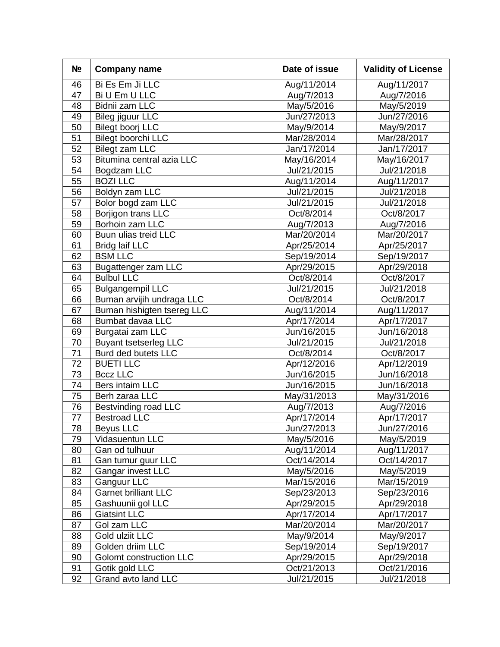| N <sub>2</sub> | <b>Company name</b>         | Date of issue | <b>Validity of License</b> |
|----------------|-----------------------------|---------------|----------------------------|
| 46             | Bi Es Em Ji LLC             | Aug/11/2014   | Aug/11/2017                |
| 47             | Bi U Em U LLC               | Aug/7/2013    | Aug/7/2016                 |
| 48             | Bidnii zam LLC              | May/5/2016    | May/5/2019                 |
| 49             | <b>Bileg jiguur LLC</b>     | Jun/27/2013   | Jun/27/2016                |
| 50             | <b>Bilegt boorj LLC</b>     | May/9/2014    | May/9/2017                 |
| 51             | Bilegt boorchi LLC          | Mar/28/2014   | Mar/28/2017                |
| 52             | <b>Bilegt zam LLC</b>       | Jan/17/2014   | Jan/17/2017                |
| 53             | Bitumina central azia LLC   | May/16/2014   | May/16/2017                |
| 54             | Bogdzam LLC                 | Jul/21/2015   | Jul/21/2018                |
| 55             | <b>BOZI LLC</b>             | Aug/11/2014   | Aug/11/2017                |
| 56             | Boldyn zam LLC              | Jul/21/2015   | Jul/21/2018                |
| 57             | Bolor bogd zam LLC          | Jul/21/2015   | Jul/21/2018                |
| 58             | Borjigon trans LLC          | Oct/8/2014    | Oct/8/2017                 |
| 59             | Borhoin zam LLC             | Aug/7/2013    | Aug/7/2016                 |
| 60             | Buun ulias treid LLC        | Mar/20/2014   | Mar/20/2017                |
| 61             | <b>Bridg laif LLC</b>       | Apr/25/2014   | Apr/25/2017                |
| 62             | <b>BSM LLC</b>              | Sep/19/2014   | Sep/19/2017                |
| 63             | <b>Bugattenger zam LLC</b>  | Apr/29/2015   | Apr/29/2018                |
| 64             | <b>Bulbul LLC</b>           | Oct/8/2014    | Oct/8/2017                 |
| 65             | <b>Bulgangempil LLC</b>     | Jul/21/2015   | Jul/21/2018                |
| 66             | Buman arvijih undraga LLC   | Oct/8/2014    | Oct/8/2017                 |
| 67             | Buman hishigten tsereg LLC  | Aug/11/2014   | Aug/11/2017                |
| 68             | Bumbat davaa LLC            | Apr/17/2014   | Apr/17/2017                |
| 69             | Burgatai zam LLC            | Jun/16/2015   | Jun/16/2018                |
| 70             | Buyant tsetserleg LLC       | Jul/21/2015   | Jul/21/2018                |
| 71             | Burd ded butets LLC         | Oct/8/2014    | Oct/8/2017                 |
| 72             | <b>BUETILLC</b>             | Apr/12/2016   | Apr/12/2019                |
| 73             | <b>Bccz LLC</b>             | Jun/16/2015   | Jun/16/2018                |
| 74             | Bers intaim LLC             | Jun/16/2015   | Jun/16/2018                |
| 75             | Berh zaraa LLC              | May/31/2013   | May/31/2016                |
| 76             | <b>Bestvinding road LLC</b> | Aug/7/2013    | Aug/7/2016                 |
| 77             | <b>Bestroad LLC</b>         | Apr/17/2014   | Apr/17/2017                |
| 78             | Beyus LLC                   | Jun/27/2013   | Jun/27/2016                |
| 79             | Vidasuentun LLC             | May/5/2016    | May/5/2019                 |
| 80             | Gan od tulhuur              | Aug/11/2014   | Aug/11/2017                |
| 81             | Gan tumur guur LLC          | Oct/14/2014   | Oct/14/2017                |
| 82             | Gangar invest LLC           | May/5/2016    | May/5/2019                 |
| 83             | Ganguur LLC                 | Mar/15/2016   | Mar/15/2019                |
| 84             | <b>Garnet brilliant LLC</b> | Sep/23/2013   | Sep/23/2016                |
| 85             | Gashuunii gol LLC           | Apr/29/2015   | Apr/29/2018                |
| 86             | <b>Giatsint LLC</b>         | Apr/17/2014   | Apr/17/2017                |
| 87             | Gol zam LLC                 | Mar/20/2014   | Mar/20/2017                |
| 88             | Gold ulziit LLC             | May/9/2014    | May/9/2017                 |
| 89             | Golden driim LLC            | Sep/19/2014   | Sep/19/2017                |
| 90             | Golomt construction LLC     | Apr/29/2015   | Apr/29/2018                |
| 91             | Gotik gold LLC              | Oct/21/2013   | Oct/21/2016                |
| 92             | Grand avto land LLC         | Jul/21/2015   | Jul/21/2018                |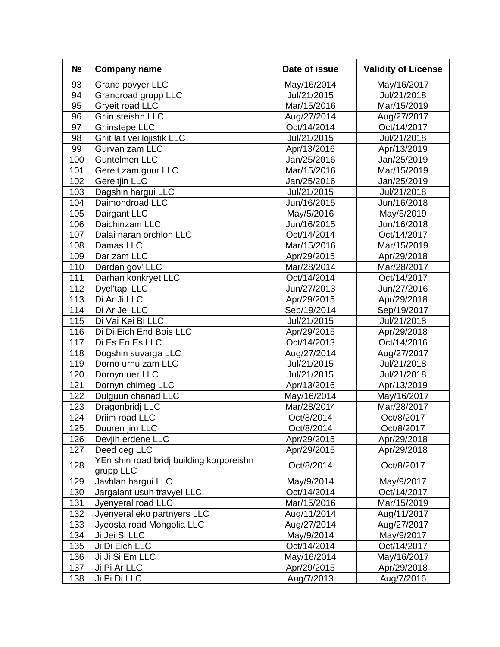| N <sub>2</sub> | <b>Company name</b>                                   | Date of issue | <b>Validity of License</b> |  |
|----------------|-------------------------------------------------------|---------------|----------------------------|--|
| 93             | Grand povyer LLC                                      | May/16/2014   | May/16/2017                |  |
| 94             | Grandroad grupp LLC                                   | Jul/21/2015   | Jul/21/2018                |  |
| 95             | Gryeit road LLC                                       | Mar/15/2016   | Mar/15/2019                |  |
| 96             | Griin steishn LLC                                     | Aug/27/2014   | Aug/27/2017                |  |
| 97             | <b>Griinstepe LLC</b>                                 | Oct/14/2014   | Oct/14/2017                |  |
| 98             | Griit lait vei lojistik LLC                           | Jul/21/2015   | Jul/21/2018                |  |
| 99             | Gurvan zam LLC                                        | Apr/13/2016   | Apr/13/2019                |  |
| 100            | <b>Guntelmen LLC</b>                                  | Jan/25/2016   | Jan/25/2019                |  |
| 101            | Gerelt zam guur LLC                                   | Mar/15/2016   | Mar/15/2019                |  |
| 102            | <b>Gereltjin LLC</b>                                  | Jan/25/2016   | Jan/25/2019                |  |
| 103            | Dagshin hargui LLC                                    | Jul/21/2015   | Jul/21/2018                |  |
| 104            | Daimondroad LLC                                       | Jun/16/2015   | Jun/16/2018                |  |
| 105            | Dairgant LLC                                          | May/5/2016    | May/5/2019                 |  |
| 106            | Daichinzam LLC                                        | Jun/16/2015   | Jun/16/2018                |  |
| 107            | Dalai naran orchlon LLC                               | Oct/14/2014   | Oct/14/2017                |  |
| 108            | Damas LLC                                             | Mar/15/2016   | Mar/15/2019                |  |
| 109            | Dar zam LLC                                           | Apr/29/2015   | Apr/29/2018                |  |
| 110            | Dardan gov' LLC                                       | Mar/28/2014   | Mar/28/2017                |  |
| 111            | Darhan konkryet LLC                                   | Oct/14/2014   | Oct/14/2017                |  |
| 112            | Dyel'tapi LLC                                         | Jun/27/2013   | Jun/27/2016                |  |
| 113            | Di Ar Ji LLC                                          | Apr/29/2015   | Apr/29/2018                |  |
| 114            | Di Ar Jei LLC                                         | Sep/19/2014   | Sep/19/2017                |  |
| 115            | Di Vai Kei Bi LLC                                     | Jul/21/2015   | Jul/21/2018                |  |
| 116            | Di Di Eich End Bois LLC                               | Apr/29/2015   | Apr/29/2018                |  |
| 117            | Di Es En Es LLC                                       | Oct/14/2013   | Oct/14/2016                |  |
| 118            | Dogshin suvarga LLC                                   | Aug/27/2014   | Aug/27/2017                |  |
| 119            | Dorno urnu zam LLC                                    | Jul/21/2015   | Jul/21/2018                |  |
| 120            | Dornyn uer LLC                                        | Jul/21/2015   | Jul/21/2018                |  |
| 121            | Dornyn chimeg LLC                                     | Apr/13/2016   | Apr/13/2019                |  |
| 122            | Dulguun chanad LLC                                    | May/16/2014   | May/16/2017                |  |
| 123            | Dragonbridj LLC                                       | Mar/28/2014   | Mar/28/2017                |  |
| 124            | Driim road LLC                                        | Oct/8/2014    | Oct/8/2017                 |  |
| 125            | Duuren jim LLC                                        | Oct/8/2014    | Oct/8/2017                 |  |
| 126            | Devjih erdene LLC                                     | Apr/29/2015   | Apr/29/2018                |  |
| 127            | Deed ceg LLC                                          | Apr/29/2015   | Apr/29/2018                |  |
| 128            | YEn shin road bridj building korporeishn<br>grupp LLC | Oct/8/2014    | Oct/8/2017                 |  |
| 129            | Javhlan hargui LLC                                    | May/9/2014    | May/9/2017                 |  |
| 130            | Jargalant usuh travyel LLC                            | Oct/14/2014   | Oct/14/2017                |  |
| 131            | Jyenyeral road LLC                                    | Mar/15/2016   | Mar/15/2019                |  |
| 132            | Jyenyeral eko partnyers LLC                           | Aug/11/2014   | Aug/11/2017                |  |
| 133            | Jyeosta road Mongolia LLC                             | Aug/27/2014   | Aug/27/2017                |  |
| 134            | Ji Jei Si LLC                                         | May/9/2014    | May/9/2017                 |  |
| 135            | Ji Di Eich LLC                                        | Oct/14/2014   | Oct/14/2017                |  |
| 136            | Ji Ji Si Em LLC                                       | May/16/2014   | May/16/2017                |  |
| 137            | Ji Pi Ar LLC                                          | Apr/29/2015   | Apr/29/2018                |  |
| 138            | Ji Pi Di LLC                                          | Aug/7/2013    | Aug/7/2016                 |  |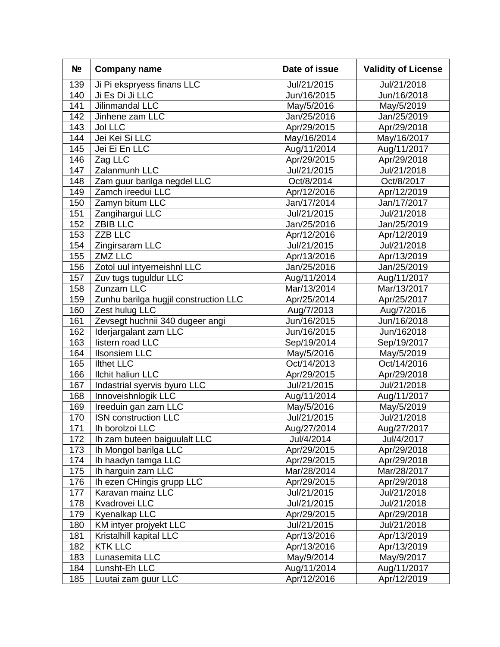| N <sub>2</sub> | <b>Company name</b>                   | Date of issue | <b>Validity of License</b> |
|----------------|---------------------------------------|---------------|----------------------------|
| 139            | Ji Pi ekspryess finans LLC            | Jul/21/2015   | Jul/21/2018                |
| 140            | Ji Es Di Ji LLC                       | Jun/16/2015   | Jun/16/2018                |
| 141            | Jilinmandal LLC                       | May/5/2016    | May/5/2019                 |
| 142            | Jinhene zam LLC                       | Jan/25/2016   | Jan/25/2019                |
| 143            | <b>Jol LLC</b>                        | Apr/29/2015   | Apr/29/2018                |
| 144            | Jei Kei Si LLC                        | May/16/2014   | May/16/2017                |
| 145            | Jei Ei En LLC                         | Aug/11/2014   | Aug/11/2017                |
| 146            | Zag LLC                               | Apr/29/2015   | Apr/29/2018                |
| 147            | Zalanmunh LLC                         | Jul/21/2015   | Jul/21/2018                |
| 148            | Zam guur barilga negdel LLC           | Oct/8/2014    | Oct/8/2017                 |
| 149            | Zamch ireedui LLC                     | Apr/12/2016   | Apr/12/2019                |
| 150            | Zamyn bitum LLC                       | Jan/17/2014   | Jan/17/2017                |
| 151            | Zangihargui LLC                       | Jul/21/2015   | Jul/21/2018                |
| 152            | <b>ZBIB LLC</b>                       | Jan/25/2016   | Jan/25/2019                |
| 153            | <b>ZZB LLC</b>                        | Apr/12/2016   | Apr/12/2019                |
| 154            | Zingirsaram LLC                       | Jul/21/2015   | Jul/21/2018                |
| 155            | <b>ZMZ LLC</b>                        | Apr/13/2016   | Apr/13/2019                |
| 156            | Zotol uul intyerneishnl LLC           | Jan/25/2016   | Jan/25/2019                |
| 157            | Zuv tugs tuguldur LLC                 | Aug/11/2014   | Aug/11/2017                |
| 158            | Zunzam LLC                            | Mar/13/2014   | Mar/13/2017                |
| 159            | Zunhu barilga hugjil construction LLC | Apr/25/2014   | Apr/25/2017                |
| 160            | Zest hulug LLC                        | Aug/7/2013    | Aug/7/2016                 |
| 161            | Zevsegt huchnii 340 dugeer angi       | Jun/16/2015   | Jun/16/2018                |
| 162            | Iderjargalant zam LLC                 | Jun/16/2015   | Jun/162018                 |
| 163            | listern road LLC                      | Sep/19/2014   | Sep/19/2017                |
| 164            | <b>Ilsonsiem LLC</b>                  | May/5/2016    | May/5/2019                 |
| 165            | <b>Ilthet LLC</b>                     | Oct/14/2013   | Oct/14/2016                |
| 166            | <b>Ilchit haliun LLC</b>              | Apr/29/2015   | Apr/29/2018                |
| 167            | Indastrial syervis byuro LLC          | Jul/21/2015   | Jul/21/2018                |
| 168            | Innoveishnlogik LLC                   | Aug/11/2014   | Aug/11/2017                |
| 169            | Ireeduin gan zam LLC                  | May/5/2016    | May/5/2019                 |
| 170            | <b>ISN construction LLC</b>           | Jul/21/2015   | Jul/21/2018                |
| 171            | Ih borolzoi LLC                       | Aug/27/2014   | Aug/27/2017                |
| 172            | Ih zam buteen baiguulalt LLC          | Jul/4/2014    | Jul/4/2017                 |
| 173            | Ih Mongol barilga LLC                 | Apr/29/2015   | Apr/29/2018                |
| 174            | Ih haadyn tamga LLC                   | Apr/29/2015   | Apr/29/2018                |
| 175            | Ih harguin zam LLC                    | Mar/28/2014   | Mar/28/2017                |
| 176            | Ih ezen CHingis grupp LLC             | Apr/29/2015   | Apr/29/2018                |
| 177            | Karavan mainz LLC                     | Jul/21/2015   | Jul/21/2018                |
| 178            | Kvadrovei LLC                         | Jul/21/2015   | Jul/21/2018                |
| 179            | Kyenalkap LLC                         | Apr/29/2015   | Apr/29/2018                |
| 180            | KM intyer projyekt LLC                | Jul/21/2015   | Jul/21/2018                |
| 181            | Kristalhill kapital LLC               | Apr/13/2016   | Apr/13/2019                |
| 182            | <b>KTK LLC</b>                        | Apr/13/2016   | Apr/13/2019                |
| 183            | Lunasemita LLC                        | May/9/2014    | May/9/2017                 |
| 184            | Lunsht-Eh LLC                         | Aug/11/2014   | Aug/11/2017                |
| 185            | Luutai zam guur LLC                   | Apr/12/2016   | Apr/12/2019                |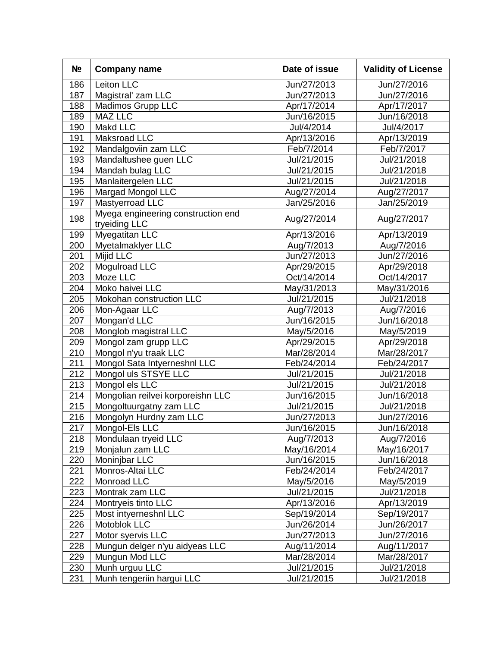| N <sub>2</sub> | <b>Company name</b>                                 | Date of issue | <b>Validity of License</b> |  |
|----------------|-----------------------------------------------------|---------------|----------------------------|--|
| 186            | Leiton LLC                                          | Jun/27/2013   | Jun/27/2016                |  |
| 187            | Magistral' zam LLC                                  | Jun/27/2013   | Jun/27/2016                |  |
| 188            | Madimos Grupp LLC                                   | Apr/17/2014   | Apr/17/2017                |  |
| 189            | MAZ LLC                                             | Jun/16/2015   | Jun/16/2018                |  |
| 190            | Makd LLC                                            | Jul/4/2014    | Jul/4/2017                 |  |
| 191            | Maksroad LLC                                        | Apr/13/2016   | Apr/13/2019                |  |
| 192            | Mandalgoviin zam LLC                                | Feb/7/2014    | Feb/7/2017                 |  |
| 193            | Mandaltushee guen LLC                               | Jul/21/2015   | Jul/21/2018                |  |
| 194            | Mandah bulag LLC                                    | Jul/21/2015   | Jul/21/2018                |  |
| 195            | Manlaitergelen LLC                                  | Jul/21/2015   | Jul/21/2018                |  |
| 196            | Margad Mongol LLC                                   | Aug/27/2014   | Aug/27/2017                |  |
| 197            | Mastyerroad LLC                                     | Jan/25/2016   | Jan/25/2019                |  |
| 198            | Myega engineering construction end<br>tryeiding LLC | Aug/27/2014   | Aug/27/2017                |  |
| 199            | Myegatitan LLC                                      | Apr/13/2016   | Apr/13/2019                |  |
| 200            | Myetalmaklyer LLC                                   | Aug/7/2013    | Aug/7/2016                 |  |
| 201            | <b>Mijid LLC</b>                                    | Jun/27/2013   | Jun/27/2016                |  |
| 202            | Mogulroad LLC                                       | Apr/29/2015   | Apr/29/2018                |  |
| 203            | Moze LLC                                            | Oct/14/2014   | Oct/14/2017                |  |
| 204            | Moko haivei LLC                                     | May/31/2013   | May/31/2016                |  |
| 205            | Mokohan construction LLC                            | Jul/21/2015   | Jul/21/2018                |  |
| 206            | Mon-Agaar LLC                                       | Aug/7/2013    | Aug/7/2016                 |  |
| 207            | Mongan'd LLC                                        | Jun/16/2015   | Jun/16/2018                |  |
| 208            | Monglob magistral LLC                               | May/5/2016    | May/5/2019                 |  |
| 209            | Mongol zam grupp LLC                                | Apr/29/2015   | Apr/29/2018                |  |
| 210            | Mongol n'yu traak LLC                               | Mar/28/2014   | Mar/28/2017                |  |
| 211            | Mongol Sata Intyerneshnl LLC                        | Feb/24/2014   | Feb/24/2017                |  |
| 212            | Mongol uls STSYE LLC                                | Jul/21/2015   | Jul/21/2018                |  |
| 213            | Mongol els LLC                                      | Jul/21/2015   | Jul/21/2018                |  |
| 214            | Mongolian reilvei korporeishn LLC                   | Jun/16/2015   | Jun/16/2018                |  |
| 215            | Mongoltuurgatny zam LLC                             | Jul/21/2015   | Jul/21/2018                |  |
| 216            | Mongolyn Hurdny zam LLC                             | Jun/27/2013   | Jun/27/2016                |  |
| 217            | Mongol-Els LLC                                      | Jun/16/2015   | Jun/16/2018                |  |
| 218            | Mondulaan tryeid LLC                                | Aug/7/2013    | Aug/7/2016                 |  |
| 219            | Monjalun zam LLC                                    | May/16/2014   | May/16/2017                |  |
| 220            | Moninjbar LLC                                       | Jun/16/2015   | Jun/16/2018                |  |
| 221            | Monros-Altai LLC                                    | Feb/24/2014   | Feb/24/2017                |  |
| 222            | Monroad LLC                                         | May/5/2016    | May/5/2019                 |  |
| 223            | Montrak zam LLC                                     | Jul/21/2015   | Jul/21/2018                |  |
| 224            | Montryeis tinto LLC                                 | Apr/13/2016   | Apr/13/2019                |  |
| 225            | Most intyerneshnl LLC                               | Sep/19/2014   | Sep/19/2017                |  |
| 226            | Motoblok LLC                                        | Jun/26/2014   | Jun/26/2017                |  |
| 227            | Motor syervis LLC                                   | Jun/27/2013   | Jun/27/2016                |  |
| 228            | Mungun delger n'yu aidyeas LLC                      | Aug/11/2014   | Aug/11/2017                |  |
| 229            | Mungun Mod LLC                                      | Mar/28/2014   | Mar/28/2017                |  |
| 230            | Munh urguu LLC                                      | Jul/21/2015   | Jul/21/2018                |  |
| 231            | Munh tengeriin hargui LLC                           | Jul/21/2015   | Jul/21/2018                |  |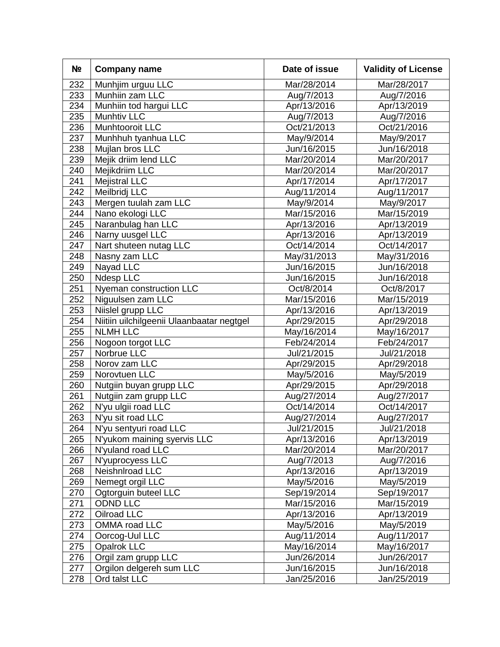| N <sub>2</sub> | <b>Company name</b>                       | Date of issue | <b>Validity of License</b> |
|----------------|-------------------------------------------|---------------|----------------------------|
| 232            | Munhjim urguu LLC                         | Mar/28/2014   | Mar/28/2017                |
| 233            | Munhiin zam LLC                           | Aug/7/2013    | Aug/7/2016                 |
| 234            | Munhiin tod hargui LLC                    | Apr/13/2016   | Apr/13/2019                |
| 235            | Munhtiv LLC                               | Aug/7/2013    | Aug/7/2016                 |
| 236            | Munhtooroit LLC                           | Oct/21/2013   | Oct/21/2016                |
| 237            | Munhhuh tyanhua LLC                       | May/9/2014    | May/9/2017                 |
| 238            | Mujlan bros LLC                           | Jun/16/2015   | Jun/16/2018                |
| 239            | Mejik driim lend LLC                      | Mar/20/2014   | Mar/20/2017                |
| 240            | Mejikdriim LLC                            | Mar/20/2014   | Mar/20/2017                |
| 241            | <b>Mejistral LLC</b>                      | Apr/17/2014   | Apr/17/2017                |
| 242            | Meilbridj LLC                             | Aug/11/2014   | Aug/11/2017                |
| 243            | Mergen tuulah zam LLC                     | May/9/2014    | May/9/2017                 |
| 244            | Nano ekologi LLC                          | Mar/15/2016   | Mar/15/2019                |
| 245            | Naranbulag han LLC                        | Apr/13/2016   | Apr/13/2019                |
| 246            | Narny uusgel LLC                          | Apr/13/2016   | Apr/13/2019                |
| 247            | Nart shuteen nutag LLC                    | Oct/14/2014   | Oct/14/2017                |
| 248            | Nasny zam LLC                             | May/31/2013   | May/31/2016                |
| 249            | Nayad LLC                                 | Jun/16/2015   | Jun/16/2018                |
| 250            | Ndesp LLC                                 | Jun/16/2015   | Jun/16/2018                |
| 251            | Nyeman construction LLC                   | Oct/8/2014    | Oct/8/2017                 |
| 252            | Niguulsen zam LLC                         | Mar/15/2016   | Mar/15/2019                |
| 253            | Niislel grupp LLC                         | Apr/13/2016   | Apr/13/2019                |
| 254            | Niitiin uilchilgeenii Ulaanbaatar negtgel | Apr/29/2015   | Apr/29/2018                |
| 255            | <b>NLMH LLC</b>                           | May/16/2014   | May/16/2017                |
| 256            | Nogoon torgot LLC                         | Feb/24/2014   | Feb/24/2017                |
| 257            | Norbrue LLC                               | Jul/21/2015   | Jul/21/2018                |
| 258            | Norov zam LLC                             | Apr/29/2015   | Apr/29/2018                |
| 259            | Norovtuen LLC                             | May/5/2016    | May/5/2019                 |
| 260            | Nutgiin buyan grupp LLC                   | Apr/29/2015   | Apr/29/2018                |
| 261            | Nutgiin zam grupp LLC                     | Aug/27/2014   | Aug/27/2017                |
| 262            | N'yu ulgii road LLC                       | Oct/14/2014   | Oct/14/2017                |
| 263            | N'yu sit road LLC                         | Aug/27/2014   | Aug/27/2017                |
| 264            | N'yu sentyuri road LLC                    | Jul/21/2015   | Jul/21/2018                |
| 265            | N'yukom maining syervis LLC               | Apr/13/2016   | Apr/13/2019                |
| 266            | N'yuland road LLC                         | Mar/20/2014   | Mar/20/2017                |
| 267            | N'yuprocyess LLC                          | Aug/7/2013    | Aug/7/2016                 |
| 268            | Neishnlroad LLC                           | Apr/13/2016   | Apr/13/2019                |
| 269            | Nemegt orgil LLC                          | May/5/2016    | May/5/2019                 |
| 270            | Ogtorguin buteel LLC                      | Sep/19/2014   | Sep/19/2017                |
| 271            | ODND LLC                                  | Mar/15/2016   | Mar/15/2019                |
| 272            | Oilroad LLC                               | Apr/13/2016   | Apr/13/2019                |
| 273            | OMMA road LLC                             | May/5/2016    | May/5/2019                 |
| 274            | Oorcog-Uul LLC                            | Aug/11/2014   | Aug/11/2017                |
| 275            | Opalrok LLC                               | May/16/2014   | May/16/2017                |
| 276            | Orgil zam grupp LLC                       | Jun/26/2014   | Jun/26/2017                |
| 277            | Orgilon delgereh sum LLC                  | Jun/16/2015   | Jun/16/2018                |
| 278            | Ord talst LLC                             | Jan/25/2016   | Jan/25/2019                |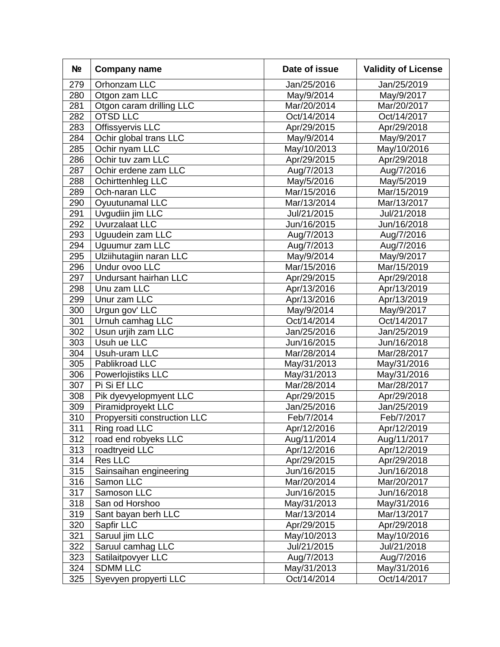| N <sub>2</sub> | <b>Company name</b>          | Date of issue | <b>Validity of License</b> |
|----------------|------------------------------|---------------|----------------------------|
| 279            | Orhonzam LLC                 | Jan/25/2016   | Jan/25/2019                |
| 280            | Otgon zam LLC                | May/9/2014    | May/9/2017                 |
| 281            | Otgon caram drilling LLC     | Mar/20/2014   | Mar/20/2017                |
| 282            | <b>OTSD LLC</b>              | Oct/14/2014   | Oct/14/2017                |
| 283            | Offissyervis LLC             | Apr/29/2015   | Apr/29/2018                |
| 284            | Ochir global trans LLC       | May/9/2014    | May/9/2017                 |
| 285            | Ochir nyam LLC               | May/10/2013   | May/10/2016                |
| 286            | Ochir tuv zam LLC            | Apr/29/2015   | Apr/29/2018                |
| 287            | Ochir erdene zam LLC         | Aug/7/2013    | Aug/7/2016                 |
| 288            | Ochirttenhleg LLC            | May/5/2016    | May/5/2019                 |
| 289            | Och-naran LLC                | Mar/15/2016   | Mar/15/2019                |
| 290            | Oyuutunamal LLC              | Mar/13/2014   | Mar/13/2017                |
| 291            | Uvgudiin jim LLC             | Jul/21/2015   | Jul/21/2018                |
| 292            | Uvurzalaat LLC               | Jun/16/2015   | Jun/16/2018                |
| 293            | Uguudein zam LLC             | Aug/7/2013    | Aug/7/2016                 |
| 294            | Uguumur zam LLC              | Aug/7/2013    | Aug/7/2016                 |
| 295            | Ulziihutagiin naran LLC      | May/9/2014    | May/9/2017                 |
| 296            | Undur ovoo LLC               | Mar/15/2016   | Mar/15/2019                |
| 297            | Undursant hairhan LLC        | Apr/29/2015   | Apr/29/2018                |
| 298            | Unu zam LLC                  | Apr/13/2016   | Apr/13/2019                |
| 299            | Unur zam LLC                 | Apr/13/2016   | Apr/13/2019                |
| 300            | Urgun gov' LLC               | May/9/2014    | May/9/2017                 |
| 301            | Urnuh camhag LLC             | Oct/14/2014   | Oct/14/2017                |
| 302            | Usun urjih zam LLC           | Jan/25/2016   | Jan/25/2019                |
| 303            | Usuh ue LLC                  | Jun/16/2015   | Jun/16/2018                |
| 304            | Usuh-uram LLC                | Mar/28/2014   | Mar/28/2017                |
| 305            | Pablikroad LLC               | May/31/2013   | May/31/2016                |
| 306            | Powerlojistiks LLC           | May/31/2013   | May/31/2016                |
| 307            | Pi Si Ef LLC                 | Mar/28/2014   | Mar/28/2017                |
| 308            | Pik dyevyelopmyent LLC       | Apr/29/2015   | Apr/29/2018                |
| 309            | Piramidproyekt LLC           | Jan/25/2016   | Jan/25/2019                |
| 310            | Propyersiti construction LLC | Feb/7/2014    | Feb/7/2017                 |
| 311            | Ring road LLC                | Apr/12/2016   | Apr/12/2019                |
| 312            | road end robyeks LLC         | Aug/11/2014   | Aug/11/2017                |
| 313            | roadtryeid LLC               | Apr/12/2016   | Apr/12/2019                |
| 314            | <b>Res LLC</b>               | Apr/29/2015   | Apr/29/2018                |
| 315            | Sainsaihan engineering       | Jun/16/2015   | Jun/16/2018                |
| 316            | Samon LLC                    | Mar/20/2014   | Mar/20/2017                |
| 317            | Samoson LLC                  | Jun/16/2015   | Jun/16/2018                |
| 318            | San od Horshoo               | May/31/2013   | May/31/2016                |
| 319            | Sant bayan berh LLC          | Mar/13/2014   | Mar/13/2017                |
| 320            | Sapfir LLC                   | Apr/29/2015   | Apr/29/2018                |
| 321            | Saruul jim LLC               | May/10/2013   | May/10/2016                |
| 322            | Saruul camhag LLC            | Jul/21/2015   | Jul/21/2018                |
| 323            | Satilaitpovyer LLC           | Aug/7/2013    | Aug/7/2016                 |
| 324            | <b>SDMM LLC</b>              | May/31/2013   | May/31/2016                |
| 325            | Syevyen propyerti LLC        | Oct/14/2014   | Oct/14/2017                |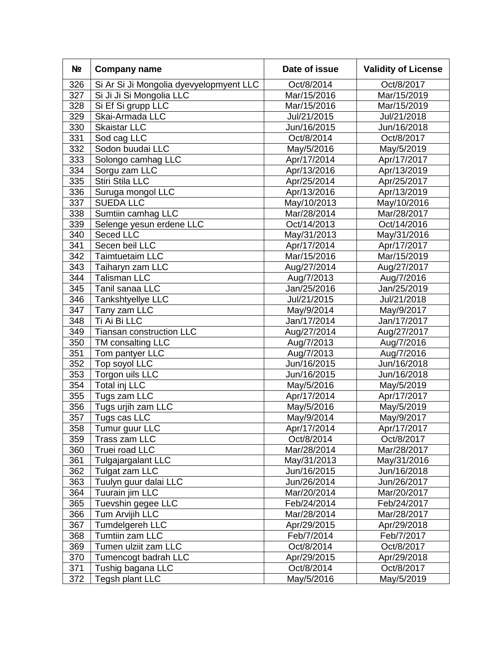| N <sub>2</sub> | <b>Company name</b>                     | Date of issue | <b>Validity of License</b> |
|----------------|-----------------------------------------|---------------|----------------------------|
| 326            | Si Ar Si Ji Mongolia dyevyelopmyent LLC | Oct/8/2014    | Oct/8/2017                 |
| 327            | Si Ji Ji Si Mongolia LLC                | Mar/15/2016   | Mar/15/2019                |
| 328            | Si Ef Si grupp LLC                      | Mar/15/2016   | Mar/15/2019                |
| 329            | Skai-Armada LLC                         | Jul/21/2015   | Jul/21/2018                |
| 330            | <b>Skaistar LLC</b>                     | Jun/16/2015   | Jun/16/2018                |
| 331            | Sod cag LLC                             | Oct/8/2014    | Oct/8/2017                 |
| 332            | Sodon buudai LLC                        | May/5/2016    | May/5/2019                 |
| 333            | Solongo camhag LLC                      | Apr/17/2014   | Apr/17/2017                |
| 334            | Sorgu zam LLC                           | Apr/13/2016   | Apr/13/2019                |
| 335            | Stiri Stila LLC                         | Apr/25/2014   | Apr/25/2017                |
| 336            | Suruga mongol LLC                       | Apr/13/2016   | Apr/13/2019                |
| 337            | <b>SUEDA LLC</b>                        | May/10/2013   | May/10/2016                |
| 338            | Sumtiin camhag LLC                      | Mar/28/2014   | Mar/28/2017                |
| 339            | Selenge yesun erdene LLC                | Oct/14/2013   | Oct/14/2016                |
| 340            | Seced LLC                               | May/31/2013   | May/31/2016                |
| 341            | Secen beil LLC                          | Apr/17/2014   | Apr/17/2017                |
| 342            | <b>Taimtuetaim LLC</b>                  | Mar/15/2016   | Mar/15/2019                |
| 343            | Taiharyn zam LLC                        | Aug/27/2014   | Aug/27/2017                |
| 344            | <b>Talisman LLC</b>                     | Aug/7/2013    | Aug/7/2016                 |
| 345            | Tanil sanaa LLC                         | Jan/25/2016   | Jan/25/2019                |
| 346            | Tankshtyellye LLC                       | Jul/21/2015   | Jul/21/2018                |
| 347            | Tany zam LLC                            | May/9/2014    | May/9/2017                 |
| 348            | Ti Ai Bi LLC                            | Jan/17/2014   | Jan/17/2017                |
| 349            | Tiansan construction LLC                | Aug/27/2014   | Aug/27/2017                |
| 350            | TM consalting LLC                       | Aug/7/2013    | Aug/7/2016                 |
| 351            | Tom pantyer LLC                         | Aug/7/2013    | Aug/7/2016                 |
| 352            | Top soyol LLC                           | Jun/16/2015   | Jun/16/2018                |
| 353            | Torgon uils LLC                         | Jun/16/2015   | Jun/16/2018                |
| 354            | Total inj LLC                           | May/5/2016    | May/5/2019                 |
| 355            | Tugs zam LLC                            | Apr/17/2014   | Apr/17/2017                |
| 356            | Tugs urjih zam LLC                      | May/5/2016    | May/5/2019                 |
| 357            | Tugs cas LLC                            | May/9/2014    | May/9/2017                 |
| 358            | Tumur guur LLC                          | Apr/17/2014   | Apr/17/2017                |
| 359            | Trass zam LLC                           | Oct/8/2014    | Oct/8/2017                 |
| 360            | Truei road LLC                          | Mar/28/2014   | Mar/28/2017                |
| 361            | Tulgajargalant LLC                      | May/31/2013   | May/31/2016                |
| 362            | Tulgat zam LLC                          | Jun/16/2015   | Jun/16/2018                |
| 363            | Tuulyn guur dalai LLC                   | Jun/26/2014   | Jun/26/2017                |
| 364            | Tuurain jim LLC                         | Mar/20/2014   | Mar/20/2017                |
| 365            | Tuevshin gegee LLC                      | Feb/24/2014   | Feb/24/2017                |
| 366            | Tum Arvijih LLC                         | Mar/28/2014   | Mar/28/2017                |
| 367            | Tumdelgereh LLC                         | Apr/29/2015   | Apr/29/2018                |
| 368            | Tumtiin zam LLC                         | Feb/7/2014    | Feb/7/2017                 |
| 369            | Tumen ulziit zam LLC                    | Oct/8/2014    | Oct/8/2017                 |
| 370            | Tumencogt badrah LLC                    | Apr/29/2015   | Apr/29/2018                |
| 371            | Tushig bagana LLC                       | Oct/8/2014    | Oct/8/2017                 |
| 372            | Tegsh plant LLC                         | May/5/2016    | May/5/2019                 |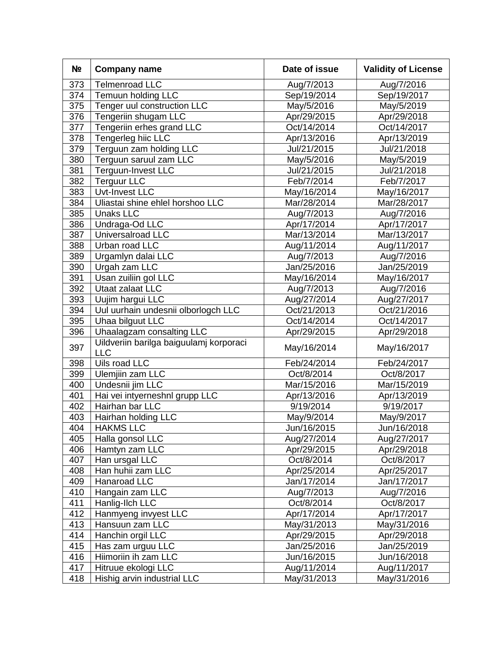| N <sub>2</sub> | <b>Company name</b>                                   | Date of issue<br><b>Validity of License</b> |             |
|----------------|-------------------------------------------------------|---------------------------------------------|-------------|
| 373            | <b>Telmenroad LLC</b>                                 | Aug/7/2013                                  | Aug/7/2016  |
| 374            | Temuun holding LLC                                    | Sep/19/2014                                 | Sep/19/2017 |
| 375            | Tenger uul construction LLC                           | May/5/2016                                  | May/5/2019  |
| 376            | Tengeriin shugam LLC                                  | Apr/29/2015                                 | Apr/29/2018 |
| 377            | Tengeriin erhes grand LLC                             | Oct/14/2014                                 | Oct/14/2017 |
| 378            | Tengerleg hiic LLC                                    | Apr/13/2016                                 | Apr/13/2019 |
| 379            | Terguun zam holding LLC                               | Jul/21/2015                                 | Jul/21/2018 |
| 380            | Terguun saruul zam LLC                                | May/5/2016                                  | May/5/2019  |
| 381            | Terguun-Invest LLC                                    | Jul/21/2015                                 | Jul/21/2018 |
| 382            | <b>Terguur LLC</b>                                    | Feb/7/2014                                  | Feb/7/2017  |
| 383            | Uvt-Invest LLC                                        | May/16/2014                                 | May/16/2017 |
| 384            | Uliastai shine ehlel horshoo LLC                      | Mar/28/2014                                 | Mar/28/2017 |
| 385            | <b>Unaks LLC</b>                                      | Aug/7/2013                                  | Aug/7/2016  |
| 386            | Undraga-Od LLC                                        | Apr/17/2014                                 | Apr/17/2017 |
| 387            | Universalroad LLC                                     | Mar/13/2014                                 | Mar/13/2017 |
| 388            | Urban road LLC                                        | Aug/11/2014                                 | Aug/11/2017 |
| 389            | Urgamlyn dalai LLC                                    | Aug/7/2013                                  | Aug/7/2016  |
| 390            | Urgah zam LLC                                         | Jan/25/2016                                 | Jan/25/2019 |
| 391            | Usan zuiliin gol LLC                                  | May/16/2014                                 | May/16/2017 |
| 392            | Utaat zalaat LLC                                      | Aug/7/2013                                  | Aug/7/2016  |
| 393            | Uujim hargui LLC                                      | Aug/27/2014                                 | Aug/27/2017 |
| 394            | Uul uurhain undesnii olborlogch LLC                   | Oct/21/2013                                 | Oct/21/2016 |
| 395            | Uhaa bilguut LLC                                      | Oct/14/2014                                 | Oct/14/2017 |
| 396            | Uhaalagzam consalting LLC                             | Apr/29/2015                                 | Apr/29/2018 |
| 397            | Uildveriin barilga baiguulamj korporaci<br><b>LLC</b> | May/16/2014                                 | May/16/2017 |
| 398            | Uils road LLC                                         | Feb/24/2014                                 | Feb/24/2017 |
| 399            | Ulemjiin zam LLC                                      | Oct/8/2014                                  | Oct/8/2017  |
| 400            | Undesnii jim LLC                                      | Mar/15/2016                                 | Mar/15/2019 |
| 401            | Hai vei intyerneshnl grupp LLC                        | Apr/13/2016                                 | Apr/13/2019 |
| 402            | Hairhan bar LLC                                       | 9/19/2014                                   | 9/19/2017   |
| 403            | Hairhan holding LLC                                   | May/9/2014                                  | May/9/2017  |
| 404            | <b>HAKMS LLC</b>                                      | Jun/16/2015                                 | Jun/16/2018 |
| 405            | Halla gonsol LLC                                      | Aug/27/2014                                 | Aug/27/2017 |
| 406            | Hamtyn zam LLC                                        | Apr/29/2015                                 | Apr/29/2018 |
| 407            | Han ursgal LLC                                        | Oct/8/2014                                  | Oct/8/2017  |
| 408            | Han huhii zam LLC                                     | Apr/25/2014                                 | Apr/25/2017 |
| 409            | Hanaroad LLC                                          | Jan/17/2014                                 | Jan/17/2017 |
| 410            | Hangain zam LLC                                       | Aug/7/2013                                  | Aug/7/2016  |
| 411            | Hanlig-Ilch LLC                                       | Oct/8/2014                                  | Oct/8/2017  |
| 412            | Hanmyeng invyest LLC                                  | Apr/17/2014                                 | Apr/17/2017 |
| 413            | Hansuun zam LLC                                       | May/31/2013                                 | May/31/2016 |
| 414            | Hanchin orgil LLC                                     | Apr/29/2015                                 | Apr/29/2018 |
| 415            | Has zam urguu LLC                                     | Jan/25/2016                                 | Jan/25/2019 |
| 416            | Hiimoriin ih zam LLC                                  | Jun/16/2015                                 | Jun/16/2018 |
| 417            | Hitruue ekologi LLC                                   | Aug/11/2014                                 | Aug/11/2017 |
| 418            | Hishig arvin industrial LLC                           | May/31/2013                                 | May/31/2016 |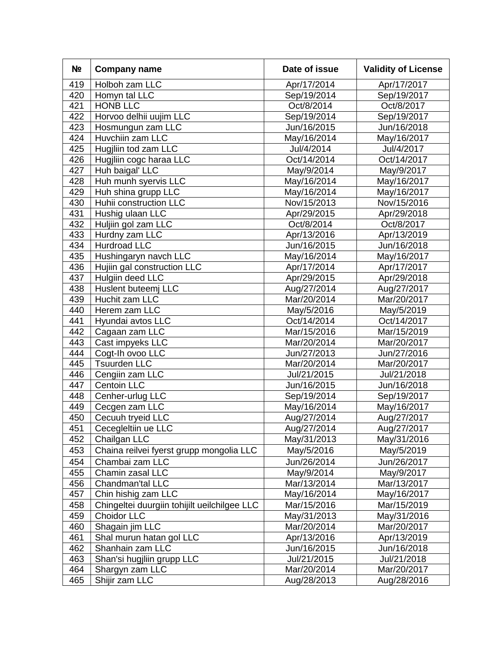| N <sub>2</sub> | <b>Company name</b>                          | <b>Validity of License</b><br>Date of issue |             |
|----------------|----------------------------------------------|---------------------------------------------|-------------|
| 419            | Holboh zam LLC                               | Apr/17/2014                                 | Apr/17/2017 |
| 420            | Homyn tal LLC                                | Sep/19/2014                                 | Sep/19/2017 |
| 421            | <b>HONB LLC</b>                              | Oct/8/2014                                  | Oct/8/2017  |
| 422            | Horvoo delhii uujim LLC                      | Sep/19/2014                                 | Sep/19/2017 |
| 423            | Hosmungun zam LLC                            | Jun/16/2015                                 | Jun/16/2018 |
| 424            | Huvchiin zam LLC                             | May/16/2014                                 | May/16/2017 |
| 425            | Hugjliin tod zam LLC                         | Jul/4/2014                                  | Jul/4/2017  |
| 426            | Hugjliin cogc haraa LLC                      | Oct/14/2014                                 | Oct/14/2017 |
| 427            | Huh baigal' LLC                              | May/9/2014                                  | May/9/2017  |
| 428            | Huh munh syervis LLC                         | May/16/2014                                 | May/16/2017 |
| 429            | Huh shina grupp LLC                          | May/16/2014                                 | May/16/2017 |
| 430            | Huhii construction LLC                       | Nov/15/2013                                 | Nov/15/2016 |
| 431            | Hushig ulaan LLC                             | Apr/29/2015                                 | Apr/29/2018 |
| 432            | Huljiin gol zam LLC                          | Oct/8/2014                                  | Oct/8/2017  |
| 433            | Hurdny zam LLC                               | Apr/13/2016                                 | Apr/13/2019 |
| 434            | <b>Hurdroad LLC</b>                          | Jun/16/2015                                 | Jun/16/2018 |
| 435            | Hushingaryn navch LLC                        | May/16/2014                                 | May/16/2017 |
| 436            | Hujiin gal construction LLC                  | Apr/17/2014                                 | Apr/17/2017 |
| 437            | Hulgiin deed LLC                             | Apr/29/2015                                 | Apr/29/2018 |
| 438            | Huslent buteemj LLC                          | Aug/27/2014                                 | Aug/27/2017 |
| 439            | Huchit zam LLC                               | Mar/20/2014                                 | Mar/20/2017 |
| 440            | Herem zam LLC                                | May/5/2016                                  | May/5/2019  |
| 441            | Hyundai avtos LLC                            | Oct/14/2014                                 | Oct/14/2017 |
| 442            | Cagaan zam LLC                               | Mar/15/2016                                 | Mar/15/2019 |
| 443            | Cast impyeks LLC                             | Mar/20/2014                                 | Mar/20/2017 |
| 444            | Cogt-Ih ovoo LLC                             | Jun/27/2013                                 | Jun/27/2016 |
| 445            | <b>Tsuurden LLC</b>                          | Mar/20/2014                                 | Mar/20/2017 |
| 446            | Cengiin zam LLC                              | Jul/21/2015                                 | Jul/21/2018 |
| 447            | <b>Centoin LLC</b>                           | Jun/16/2015                                 | Jun/16/2018 |
| 448            | Cenher-urlug LLC                             | Sep/19/2014                                 | Sep/19/2017 |
| 449            | Cecgen zam LLC                               | May/16/2014                                 | May/16/2017 |
| 450            | Cecuuh tryeid LLC                            | Aug/27/2014                                 | Aug/27/2017 |
| 451            | Cecegleltiin ue LLC                          | Aug/27/2014                                 | Aug/27/2017 |
| 452            | Chailgan LLC                                 | May/31/2013                                 | May/31/2016 |
| 453            | Chaina reilvei fyerst grupp mongolia LLC     | May/5/2016                                  | May/5/2019  |
| 454            | Chambai zam LLC                              | Jun/26/2014                                 | Jun/26/2017 |
| 455            | Chamin zasal LLC                             | May/9/2014                                  | May/9/2017  |
| 456            | Chandman'tal LLC                             | Mar/13/2014                                 | Mar/13/2017 |
| 457            | Chin hishig zam LLC                          | May/16/2014                                 | May/16/2017 |
| 458            | Chingeltei duurgiin tohijilt ueilchilgee LLC | Mar/15/2016                                 | Mar/15/2019 |
| 459            | <b>Choidor LLC</b>                           | May/31/2013                                 | May/31/2016 |
| 460            | Shagain jim LLC                              | Mar/20/2014                                 | Mar/20/2017 |
| 461            | Shal murun hatan gol LLC                     | Apr/13/2016                                 | Apr/13/2019 |
| 462            | Shanhain zam LLC                             | Jun/16/2015                                 | Jun/16/2018 |
| 463            | Shan'si hugjliin grupp LLC                   | Jul/21/2015                                 | Jul/21/2018 |
| 464            | Shargyn zam LLC                              | Mar/20/2014                                 | Mar/20/2017 |
| 465            | Shijir zam LLC                               | Aug/28/2013                                 | Aug/28/2016 |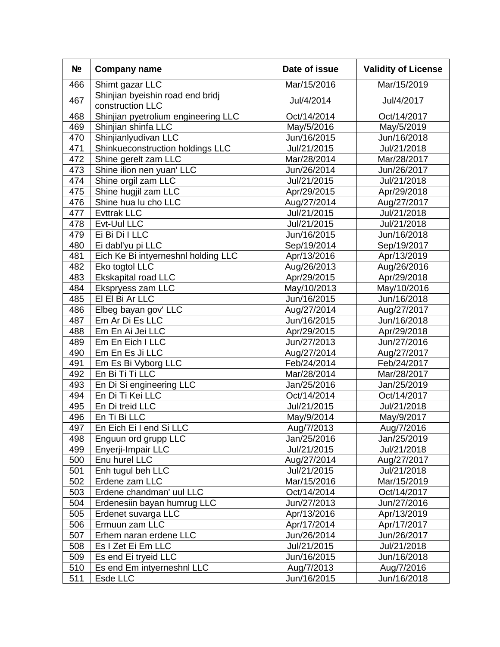| N <sub>2</sub> | <b>Company name</b>                                  | <b>Validity of License</b><br>Date of issue |             |  |
|----------------|------------------------------------------------------|---------------------------------------------|-------------|--|
| 466            | Shimt gazar LLC                                      | Mar/15/2016                                 | Mar/15/2019 |  |
| 467            | Shinjian byeishin road end bridj<br>construction LLC | Jul/4/2014                                  | Jul/4/2017  |  |
| 468            | Shinjian pyetrolium engineering LLC                  | Oct/14/2014                                 | Oct/14/2017 |  |
| 469            | Shinjian shinfa LLC                                  | May/5/2016                                  | May/5/2019  |  |
| 470            | Shinjianlyudivan LLC                                 | Jun/16/2015                                 | Jun/16/2018 |  |
| 471            | Shinkueconstruction holdings LLC                     | Jul/21/2015                                 | Jul/21/2018 |  |
| 472            | Shine gerelt zam LLC                                 | Mar/28/2014                                 | Mar/28/2017 |  |
| 473            | Shine ilion nen yuan' LLC                            | Jun/26/2014                                 | Jun/26/2017 |  |
| 474            | Shine orgil zam LLC                                  | Jul/21/2015                                 | Jul/21/2018 |  |
| 475            | Shine hugjil zam LLC                                 | Apr/29/2015                                 | Apr/29/2018 |  |
| 476            | Shine hua lu cho LLC                                 | Aug/27/2014                                 | Aug/27/2017 |  |
| 477            | <b>Evttrak LLC</b>                                   | Jul/21/2015                                 | Jul/21/2018 |  |
| 478            | Evt-Uul LLC                                          | Jul/21/2015                                 | Jul/21/2018 |  |
| 479            | Ei Bi Di I LLC                                       | Jun/16/2015                                 | Jun/16/2018 |  |
| 480            | Ei dabl'yu pi LLC                                    | Sep/19/2014                                 | Sep/19/2017 |  |
| 481            | Eich Ke Bi intyerneshnl holding LLC                  | Apr/13/2016                                 | Apr/13/2019 |  |
| 482            | Eko togtol LLC                                       | Aug/26/2013                                 | Aug/26/2016 |  |
| 483            | Ekskapital road LLC                                  | Apr/29/2015                                 | Apr/29/2018 |  |
| 484            | Ekspryess zam LLC                                    | May/10/2013                                 | May/10/2016 |  |
| 485            | EI EI Bi Ar LLC                                      | Jun/16/2015                                 | Jun/16/2018 |  |
| 486            | Elbeg bayan gov' LLC                                 | Aug/27/2014                                 | Aug/27/2017 |  |
| 487            | Em Ar Di Es LLC                                      | Jun/16/2015                                 | Jun/16/2018 |  |
| 488            | Em En Ai Jei LLC                                     | Apr/29/2015                                 | Apr/29/2018 |  |
| 489            | Em En Eich I LLC                                     | Jun/27/2013                                 | Jun/27/2016 |  |
| 490            | Em En Es Ji LLC                                      | Aug/27/2014                                 | Aug/27/2017 |  |
| 491            | Em Es Bi Vyborg LLC                                  | Feb/24/2014                                 | Feb/24/2017 |  |
| 492            | En Bi Ti Ti LLC                                      | Mar/28/2014                                 | Mar/28/2017 |  |
| 493            | En Di Si engineering LLC                             | Jan/25/2016                                 | Jan/25/2019 |  |
| 494            | En Di Ti Kei LLC                                     | Oct/14/2014                                 | Oct/14/2017 |  |
| 495            | En Di treid LLC                                      | Jul/21/2015                                 | Jul/21/2018 |  |
| 496            | En Ti Bi LLC                                         | May/9/2014                                  | May/9/2017  |  |
| 497            | En Eich Eilend Si LLC                                | Aug/7/2013                                  | Aug/7/2016  |  |
| 498            | Enguun ord grupp LLC                                 | Jan/25/2016                                 | Jan/25/2019 |  |
| 499            | Enyerji-Impair LLC                                   | Jul/21/2015                                 | Jul/21/2018 |  |
| 500            | Enu hurel LLC                                        | Aug/27/2014                                 | Aug/27/2017 |  |
| 501            | Enh tugul beh LLC                                    | Jul/21/2015                                 | Jul/21/2018 |  |
| 502            | Erdene zam LLC                                       | Mar/15/2016                                 | Mar/15/2019 |  |
| 503            | Erdene chandman' uul LLC                             | Oct/14/2014                                 | Oct/14/2017 |  |
| 504            | Erdenesiin bayan humrug LLC                          | Jun/27/2013                                 | Jun/27/2016 |  |
| 505            | Erdenet suvarga LLC                                  | Apr/13/2016                                 | Apr/13/2019 |  |
| 506            | Ermuun zam LLC                                       | Apr/17/2014                                 | Apr/17/2017 |  |
| 507            | Erhem naran erdene LLC                               | Jun/26/2014                                 | Jun/26/2017 |  |
| 508            | Es I Zet Ei Em LLC                                   | Jul/21/2015                                 | Jul/21/2018 |  |
| 509            | Es end Ei tryeid LLC                                 | Jun/16/2015                                 | Jun/16/2018 |  |
| 510            | Es end Em intyerneshnl LLC                           | Aug/7/2013                                  | Aug/7/2016  |  |
| 511            | Esde LLC                                             | Jun/16/2015                                 | Jun/16/2018 |  |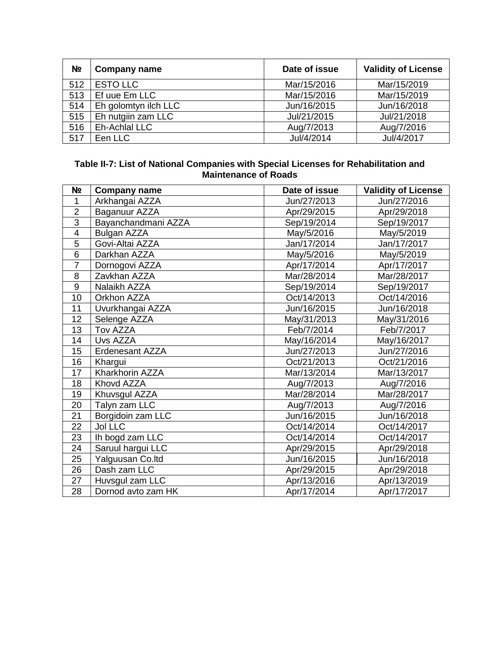| N <sub>2</sub> | <b>Company name</b>  | Date of issue | <b>Validity of License</b> |
|----------------|----------------------|---------------|----------------------------|
| 512            | <b>ESTO LLC</b>      | Mar/15/2016   | Mar/15/2019                |
| 513            | Ef uue Em LLC        | Mar/15/2016   | Mar/15/2019                |
| 514            | Eh golomtyn ilch LLC | Jun/16/2015   | Jun/16/2018                |
| 515            | Eh nutgiin zam LLC   | Jul/21/2015   | Jul/21/2018                |
| 516            | Eh-Achlal LLC        | Aug/7/2013    | Aug/7/2016                 |
| 517            | Een LLC              | Jul/4/2014    | Jul/4/2017                 |

#### **Table II-7: List of National Companies with Special Licenses for Rehabilitation and Maintenance of Roads**

| N <sub>2</sub>           | <b>Company name</b> | Date of issue | <b>Validity of License</b> |
|--------------------------|---------------------|---------------|----------------------------|
| 1                        | Arkhangai AZZA      | Jun/27/2013   | Jun/27/2016                |
| $\overline{2}$           | Baganuur AZZA       | Apr/29/2015   | Apr/29/2018                |
| $\overline{3}$           | Bayanchandmani AZZA | Sep/19/2014   | Sep/19/2017                |
| $\overline{\mathcal{A}}$ | <b>Bulgan AZZA</b>  | May/5/2016    | May/5/2019                 |
| 5                        | Govi-Altai AZZA     | Jan/17/2014   | Jan/17/2017                |
| 6                        | Darkhan AZZA        | May/5/2016    | May/5/2019                 |
| $\overline{7}$           | Dornogovi AZZA      | Apr/17/2014   | Apr/17/2017                |
| 8                        | Zavkhan AZZA        | Mar/28/2014   | Mar/28/2017                |
| 9                        | Nalaikh AZZA        | Sep/19/2014   | Sep/19/2017                |
| 10                       | Orkhon AZZA         | Oct/14/2013   | Oct/14/2016                |
| 11                       | Uvurkhangai AZZA    | Jun/16/2015   | Jun/16/2018                |
| 12                       | Selenge AZZA        | May/31/2013   | May/31/2016                |
| 13                       | Tov AZZA            | Feb/7/2014    | Feb/7/2017                 |
| 14                       | Uvs AZZA            | May/16/2014   | May/16/2017                |
| 15                       | Erdenesant AZZA     | Jun/27/2013   | Jun/27/2016                |
| 16                       | Khargui             | Oct/21/2013   | Oct/21/2016                |
| 17                       | Kharkhorin AZZA     | Mar/13/2014   | Mar/13/2017                |
| 18                       | Khovd AZZA          | Aug/7/2013    | Aug/7/2016                 |
| 19                       | Khuvsgul AZZA       | Mar/28/2014   | Mar/28/2017                |
| 20                       | Talyn zam LLC       | Aug/7/2013    | Aug/7/2016                 |
| 21                       | Borgidoin zam LLC   | Jun/16/2015   | Jun/16/2018                |
| 22                       | <b>Jol LLC</b>      | Oct/14/2014   | Oct/14/2017                |
| 23                       | Ih bogd zam LLC     | Oct/14/2014   | Oct/14/2017                |
| 24                       | Saruul hargui LLC   | Apr/29/2015   | Apr/29/2018                |
| 25                       | Yalguusan Co.ltd    | Jun/16/2015   | Jun/16/2018                |
| 26                       | Dash zam LLC        | Apr/29/2015   | Apr/29/2018                |
| 27                       | Huvsgul zam LLC     | Apr/13/2016   | Apr/13/2019                |
| 28                       | Dornod avto zam HK  | Apr/17/2014   | Apr/17/2017                |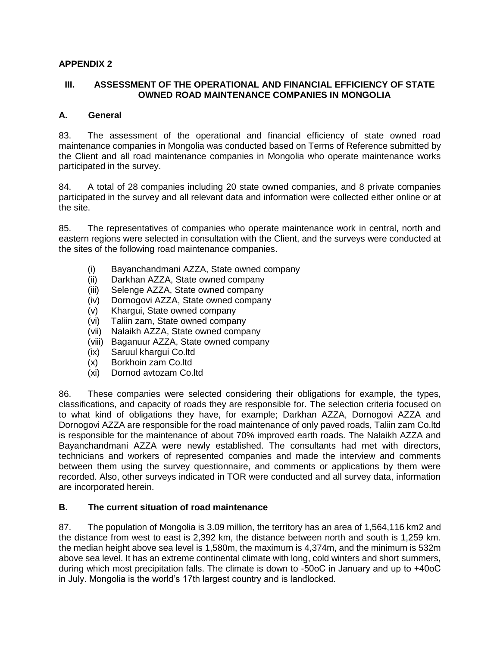#### **APPENDIX 2**

#### **III. ASSESSMENT OF THE OPERATIONAL AND FINANCIAL EFFICIENCY OF STATE OWNED ROAD MAINTENANCE COMPANIES IN MONGOLIA**

#### **A. General**

83. The assessment of the operational and financial efficiency of state owned road maintenance companies in Mongolia was conducted based on Terms of Reference submitted by the Client and all road maintenance companies in Mongolia who operate maintenance works participated in the survey.

84. A total of 28 companies including 20 state owned companies, and 8 private companies participated in the survey and all relevant data and information were collected either online or at the site.

85. The representatives of companies who operate maintenance work in central, north and eastern regions were selected in consultation with the Client, and the surveys were conducted at the sites of the following road maintenance companies.

- (i) Bayanchandmani AZZA, State owned company
- (ii) Darkhan AZZA, State owned company
- (iii) Selenge AZZA, State owned company
- (iv) Dornogovi AZZA, State owned company
- (v) Khargui, State owned company
- (vi) Taliin zam, State owned company
- (vii) Nalaikh AZZA, State owned company
- (viii) Baganuur AZZA, State owned company
- (ix) Saruul khargui Co.ltd
- (x) Borkhoin zam Co.ltd
- (xi) Dornod avtozam Co.ltd

86. These companies were selected considering their obligations for example, the types, classifications, and capacity of roads they are responsible for. The selection criteria focused on to what kind of obligations they have, for example; Darkhan AZZA, Dornogovi AZZA and Dornogovi AZZA are responsible for the road maintenance of only paved roads, Taliin zam Co.ltd is responsible for the maintenance of about 70% improved earth roads. The Nalaikh AZZA and Bayanchandmani AZZA were newly established. The consultants had met with directors, technicians and workers of represented companies and made the interview and comments between them using the survey questionnaire, and comments or applications by them were recorded. Also, other surveys indicated in TOR were conducted and all survey data, information are incorporated herein.

#### **B. The current situation of road maintenance**

87. The population of Mongolia is 3.09 million, the territory has an area of 1,564,116 km2 and the distance from west to east is 2,392 km, the distance between north and south is 1,259 km. the median height above sea level is 1,580m, the maximum is 4,374m, and the minimum is 532m above sea level. It has an extreme continental climate with long, cold winters and short summers, during which most precipitation falls. The climate is down to -50oС in January and up to +40oС in July. Mongolia is the world's 17th largest country and is landlocked.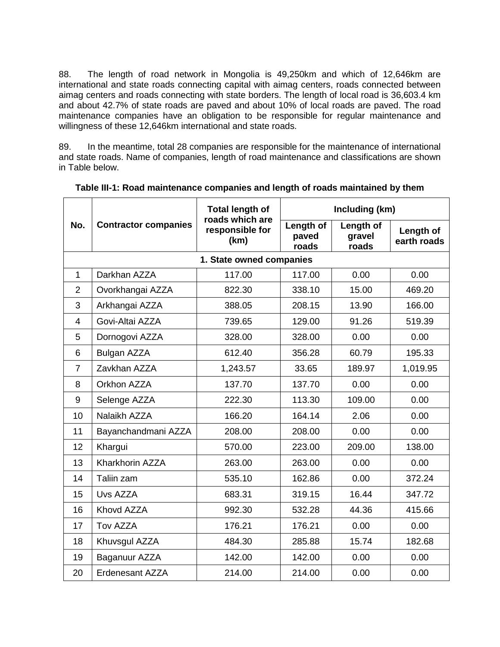88. The length of road network in Mongolia is 49,250km and which of 12,646km are international and state roads connecting capital with aimag centers, roads connected between aimag centers and roads connecting with state borders. The length of local road is 36,603.4 km and about 42.7% of state roads are paved and about 10% of local roads are paved. The road maintenance companies have an obligation to be responsible for regular maintenance and willingness of these 12,646km international and state roads.

89. In the meantime, total 28 companies are responsible for the maintenance of international and state roads. Name of companies, length of road maintenance and classifications are shown in Table below.

|                | <b>Contractor companies</b> | <b>Total length of</b>                     | Including (km)              |                              |                          |
|----------------|-----------------------------|--------------------------------------------|-----------------------------|------------------------------|--------------------------|
| No.            |                             | roads which are<br>responsible for<br>(km) | Length of<br>paved<br>roads | Length of<br>gravel<br>roads | Length of<br>earth roads |
|                |                             | 1. State owned companies                   |                             |                              |                          |
| $\mathbf{1}$   | Darkhan AZZA                | 117.00                                     | 117.00                      | 0.00                         | 0.00                     |
| $\overline{2}$ | Ovorkhangai AZZA            | 822.30                                     | 338.10                      | 15.00                        | 469.20                   |
| 3              | Arkhangai AZZA              | 388.05                                     | 208.15                      | 13.90                        | 166.00                   |
| $\overline{4}$ | Govi-Altai AZZA             | 739.65                                     | 129.00                      | 91.26                        | 519.39                   |
| 5              | Dornogovi AZZA              | 328.00                                     | 328.00                      | 0.00                         | 0.00                     |
| 6              | Bulgan AZZA                 | 612.40                                     | 356.28                      | 60.79                        | 195.33                   |
| $\overline{7}$ | Zavkhan AZZA                | 1,243.57                                   | 33.65                       | 189.97                       | 1,019.95                 |
| 8              | Orkhon AZZA                 | 137.70                                     | 137.70                      | 0.00                         | 0.00                     |
| 9              | Selenge AZZA                | 222.30                                     | 113.30                      | 109.00                       | 0.00                     |
| 10             | Nalaikh AZZA                | 166.20                                     | 164.14                      | 2.06                         | 0.00                     |
| 11             | Bayanchandmani AZZA         | 208.00                                     | 208.00                      | 0.00                         | 0.00                     |
| 12             | Khargui                     | 570.00                                     | 223.00                      | 209.00                       | 138.00                   |
| 13             | Kharkhorin AZZA             | 263.00                                     | 263.00                      | 0.00                         | 0.00                     |
| 14             | Taliin zam                  | 535.10                                     | 162.86                      | 0.00                         | 372.24                   |
| 15             | Uvs AZZA                    | 683.31                                     | 319.15                      | 16.44                        | 347.72                   |
| 16             | Khovd AZZA                  | 992.30                                     | 532.28                      | 44.36                        | 415.66                   |
| 17             | Tov AZZA                    | 176.21                                     | 176.21                      | 0.00                         | 0.00                     |
| 18             | Khuvsgul AZZA               | 484.30                                     | 285.88                      | 15.74                        | 182.68                   |
| 19             | Baganuur AZZA               | 142.00                                     | 142.00                      | 0.00                         | 0.00                     |
| 20             | <b>Erdenesant AZZA</b>      | 214.00                                     | 214.00                      | 0.00                         | 0.00                     |

**Table III-1: Road maintenance companies and length of roads maintained by them**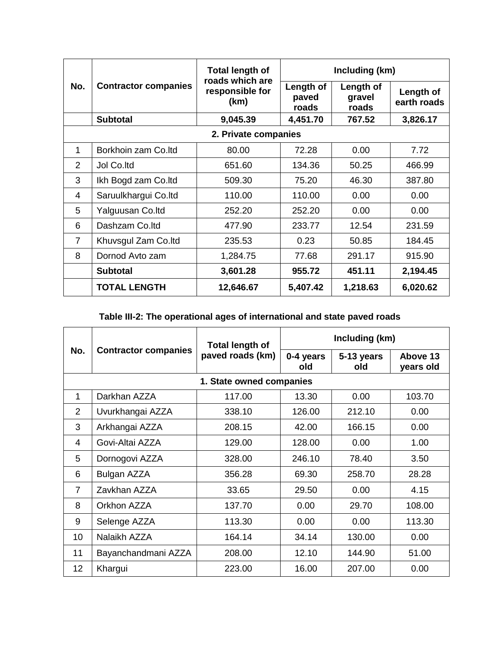| No.                  | <b>Contractor companies</b> | <b>Total length of</b><br>roads which are<br>responsible for<br>(km) | Including (km)              |                                     |                          |  |  |
|----------------------|-----------------------------|----------------------------------------------------------------------|-----------------------------|-------------------------------------|--------------------------|--|--|
|                      |                             |                                                                      | Length of<br>paved<br>roads | <b>Length of</b><br>gravel<br>roads | Length of<br>earth roads |  |  |
|                      | <b>Subtotal</b>             | 9,045.39                                                             | 4,451.70                    | 767.52                              | 3,826.17                 |  |  |
| 2. Private companies |                             |                                                                      |                             |                                     |                          |  |  |
| 1                    | Borkhoin zam Co.ltd         | 80.00                                                                | 72.28                       | 0.00                                | 7.72                     |  |  |
| $\mathcal{P}$        | Jol Co.ltd                  | 651.60                                                               | 134.36                      | 50.25                               | 466.99                   |  |  |
| 3                    | Ikh Bogd zam Co.ltd         | 509.30                                                               | 75.20                       | 46.30                               | 387.80                   |  |  |
| 4                    | Saruulkhargui Co.ltd        | 110.00                                                               | 110.00                      | 0.00                                | 0.00                     |  |  |
| 5                    | Yalguusan Co.ltd            | 252.20                                                               | 252.20                      | 0.00                                | 0.00                     |  |  |
| 6                    | Dashzam Co.ltd              | 477.90                                                               | 233.77                      | 12.54                               | 231.59                   |  |  |
| $\overline{7}$       | Khuvsgul Zam Co.ltd         | 235.53                                                               | 0.23                        | 50.85                               | 184.45                   |  |  |
| 8                    | Dornod Avto zam             | 1,284.75                                                             | 77.68                       | 291.17                              | 915.90                   |  |  |
|                      | <b>Subtotal</b>             | 3,601.28                                                             | 955.72                      | 451.11                              | 2,194.45                 |  |  |
|                      | <b>TOTAL LENGTH</b>         | 12,646.67                                                            | 5,407.42                    | 1,218.63                            | 6,020.62                 |  |  |

# **Table III-2: The operational ages of international and state paved roads**

| No.                      | <b>Contractor companies</b> | Total length of<br>paved roads (km) | Including (km)   |                   |                       |  |  |  |
|--------------------------|-----------------------------|-------------------------------------|------------------|-------------------|-----------------------|--|--|--|
|                          |                             |                                     | 0-4 years<br>old | 5-13 years<br>old | Above 13<br>years old |  |  |  |
| 1. State owned companies |                             |                                     |                  |                   |                       |  |  |  |
| 1                        | Darkhan AZZA                | 117.00                              | 13.30            | 0.00              | 103.70                |  |  |  |
| 2                        | Uvurkhangai AZZA            | 338.10                              | 126.00           | 212.10            | 0.00                  |  |  |  |
| 3                        | Arkhangai AZZA              | 208.15                              | 42.00            | 166.15            | 0.00                  |  |  |  |
| 4                        | Govi-Altai AZZA             | 129.00                              | 128.00           | 0.00              | 1.00                  |  |  |  |
| 5                        | Dornogovi AZZA              | 328.00                              | 246.10           | 78.40             | 3.50                  |  |  |  |
| 6                        | Bulgan AZZA                 | 356.28                              | 69.30            | 258.70            | 28.28                 |  |  |  |
| $\overline{7}$           | Zavkhan AZZA                | 33.65                               | 29.50            | 0.00              | 4.15                  |  |  |  |
| 8                        | Orkhon AZZA                 | 137.70                              | 0.00             | 29.70             | 108.00                |  |  |  |
| 9                        | Selenge AZZA                | 113.30                              | 0.00             | 0.00              | 113.30                |  |  |  |
| 10                       | Nalaikh AZZA                | 164.14                              | 34.14            | 130.00            | 0.00                  |  |  |  |
| 11                       | Bayanchandmani AZZA         | 208.00                              | 12.10            | 144.90            | 51.00                 |  |  |  |
| 12 <sub>2</sub>          | Khargui                     | 223.00                              | 16.00            | 207.00            | 0.00                  |  |  |  |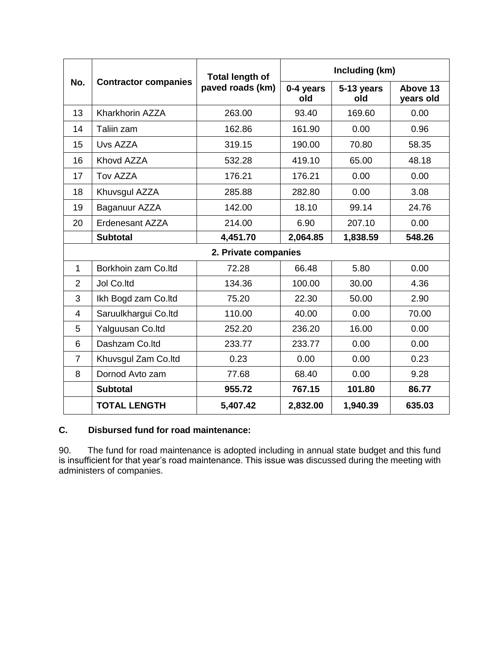| No.                  | <b>Contractor companies</b> | <b>Total length of</b><br>paved roads (km) | Including (km)   |                   |                       |  |  |
|----------------------|-----------------------------|--------------------------------------------|------------------|-------------------|-----------------------|--|--|
|                      |                             |                                            | 0-4 years<br>old | 5-13 years<br>old | Above 13<br>years old |  |  |
| 13                   | Kharkhorin AZZA             | 263.00                                     | 93.40            | 169.60            | 0.00                  |  |  |
| 14                   | Taliin zam                  | 162.86                                     | 161.90           | 0.00              | 0.96                  |  |  |
| 15                   | Uvs AZZA                    | 319.15                                     | 190.00           | 70.80             | 58.35                 |  |  |
| 16                   | Khovd AZZA                  | 532.28                                     | 419.10           | 65.00             | 48.18                 |  |  |
| 17                   | Tov AZZA                    | 176.21                                     | 176.21           | 0.00              | 0.00                  |  |  |
| 18                   | Khuvsgul AZZA               | 285.88                                     | 282.80           | 0.00              | 3.08                  |  |  |
| 19                   | Baganuur AZZA               | 142.00                                     | 18.10            | 99.14             | 24.76                 |  |  |
| 20                   | <b>Erdenesant AZZA</b>      | 214.00                                     | 6.90             | 207.10            | 0.00                  |  |  |
|                      | <b>Subtotal</b>             | 4,451.70                                   | 2,064.85         | 1,838.59          | 548.26                |  |  |
| 2. Private companies |                             |                                            |                  |                   |                       |  |  |
| $\mathbf{1}$         | Borkhoin zam Co.ltd         | 72.28                                      | 66.48            | 5.80              | 0.00                  |  |  |
| $\overline{2}$       | Jol Co.ltd                  | 134.36                                     | 100.00           | 30.00             | 4.36                  |  |  |
| 3                    | Ikh Bogd zam Co.ltd         | 75.20                                      | 22.30            | 50.00             | 2.90                  |  |  |
| 4                    | Saruulkhargui Co.ltd        | 110.00                                     | 40.00            | 0.00              | 70.00                 |  |  |
| 5                    | Yalguusan Co.ltd            | 252.20                                     | 236.20           | 16.00             | 0.00                  |  |  |
| 6                    | Dashzam Co.ltd              | 233.77                                     | 233.77           | 0.00              | 0.00                  |  |  |
| $\overline{7}$       | Khuvsgul Zam Co.ltd         | 0.23                                       | 0.00             | 0.00              | 0.23                  |  |  |
| 8                    | Dornod Avto zam             | 77.68                                      | 68.40            | 0.00              | 9.28                  |  |  |
|                      | <b>Subtotal</b>             | 955.72                                     | 767.15           | 101.80            | 86.77                 |  |  |
|                      | <b>TOTAL LENGTH</b>         | 5,407.42                                   | 2,832.00         | 1,940.39          | 635.03                |  |  |

# **C. Disbursed fund for road maintenance:**

90. The fund for road maintenance is adopted including in annual state budget and this fund is insufficient for that year's road maintenance. This issue was discussed during the meeting with administers of companies.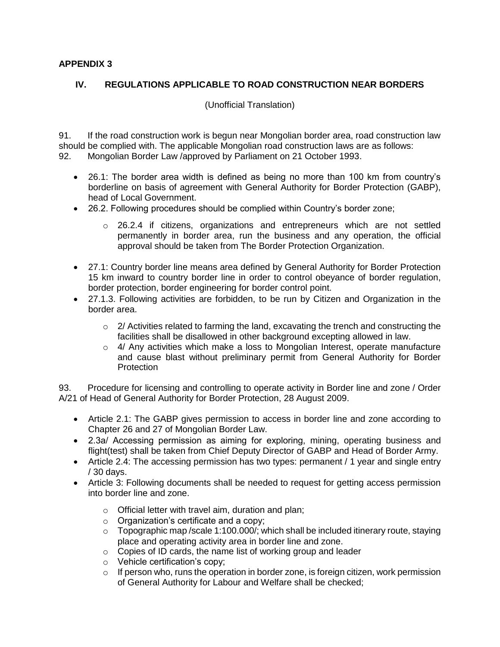#### **APPENDIX 3**

#### **IV. REGULATIONS APPLICABLE TO ROAD CONSTRUCTION NEAR BORDERS**

(Unofficial Translation)

91. If the road construction work is begun near Mongolian border area, road construction law should be complied with. The applicable Mongolian road construction laws are as follows: 92. Mongolian Border Law /approved by Parliament on 21 October 1993.

- 26.1: The border area width is defined as being no more than 100 km from country's borderline on basis of agreement with General Authority for Border Protection (GABP), head of Local Government.
- 26.2. Following procedures should be complied within Country's border zone;
	- o 26.2.4 if citizens, organizations and entrepreneurs which are not settled permanently in border area, run the business and any operation, the official approval should be taken from The Border Protection Organization.
- 27.1: Country border line means area defined by General Authority for Border Protection 15 km inward to country border line in order to control obeyance of border regulation, border protection, border engineering for border control point.
- 27.1.3. Following activities are forbidden, to be run by Citizen and Organization in the border area.
	- $\circ$  2/ Activities related to farming the land, excavating the trench and constructing the facilities shall be disallowed in other background excepting allowed in law.
	- $\circ$  4/ Any activities which make a loss to Mongolian Interest, operate manufacture and cause blast without preliminary permit from General Authority for Border **Protection**

93. Procedure for licensing and controlling to operate activity in Border line and zone / Order A/21 of Head of General Authority for Border Protection, 28 August 2009.

- Article 2.1: The GABP gives permission to access in border line and zone according to Chapter 26 and 27 of Mongolian Border Law.
- 2.3а/ Accessing permission as aiming for exploring, mining, operating business and flight(test) shall be taken from Chief Deputy Director of GABP and Head of Border Army.
- Article 2.4: The accessing permission has two types: permanent / 1 year and single entry / 30 days.
- Article 3: Following documents shall be needed to request for getting access permission into border line and zone.
	- o Official letter with travel aim, duration and plan;
	- o Organization's certificate and a copy;
	- o Topographic map /scale 1:100.000/; which shall be included itinerary route, staying place and operating activity area in border line and zone.
	- o Copies of ID cards, the name list of working group and leader
	- o Vehicle certification's copy;
	- o If person who, runs the operation in border zone, is foreign citizen, work permission of General Authority for Labour and Welfare shall be checked;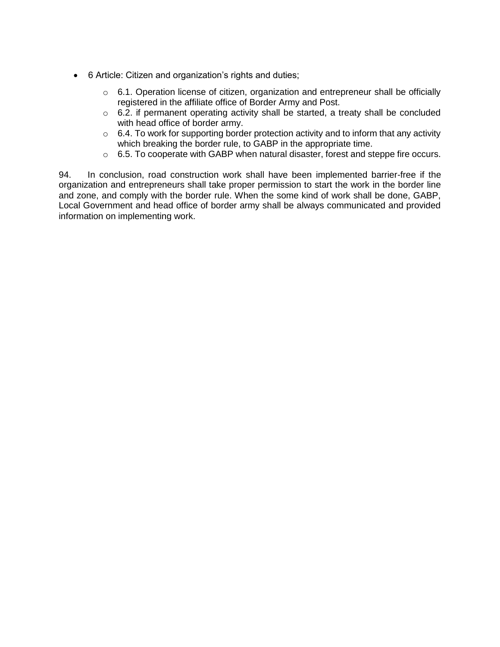- 6 Article: Citizen and organization's rights and duties;
	- $\circ$  6.1. Operation license of citizen, organization and entrepreneur shall be officially registered in the affiliate office of Border Army and Post.
	- $\circ$  6.2. if permanent operating activity shall be started, a treaty shall be concluded with head office of border army.
	- $\circ$  6.4. To work for supporting border protection activity and to inform that any activity which breaking the border rule, to GABP in the appropriate time.
	- $\circ$  6.5. To cooperate with GABP when natural disaster, forest and steppe fire occurs.

94. In conclusion, road construction work shall have been implemented barrier-free if the organization and entrepreneurs shall take proper permission to start the work in the border line and zone, and comply with the border rule. When the some kind of work shall be done, GABP, Local Government and head office of border army shall be always communicated and provided information on implementing work.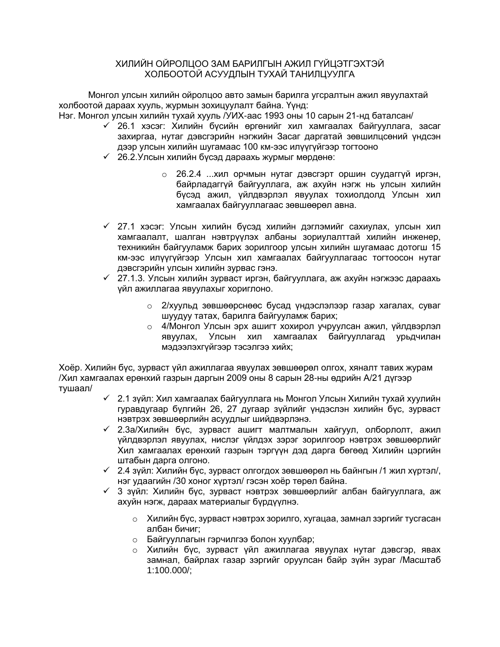#### ХИЛИЙН ОЙРОЛЦОО ЗАМ БАРИЛГЫН АЖИЛ ГҮЙЦЭТГЭХТЭЙ ХОЛБООТОЙ АСУУДЛЫН ТУХАЙ ТАНИЛЦУУЛГА

Монгол улсын хилийн ойролцоо авто замын барилга угсралтын ажил явуулахтай холбоотой дараах хууль, журмын зохицуулалт байна. Үүнд:

Нэг. Монгол улсын хилийн тухай хууль /УИХ-аас 1993 оны 10 сарын 21-нд баталсан/

- ✓ 26.1 хэсэг: Хилийн бүсийн өргөнийг хил хамгаалах байгууллага, засаг захиргаа, нутаг дэвсгэрийн нэгжийн Засаг даргатай зөвшилцсөний үндсэн дээр улсын хилийн шугамаас 100 км-ээс илүүгүйгээр тогтооно
- ✓ 26.2.Улсын хилийн бүсэд дараахь журмыг мөрдөнө:
	- o 26.2.4 ...хил орчмын нутаг дэвсгэрт оршин суудаггүй иргэн, байрладаггүй байгууллага, аж ахуйн нэгж нь улсын хилийн бүсэд ажил, үйлдвэрлэл явуулах тохиолдолд Улсын хил хамгаалах байгууллагаас зөвшөөрөл авна.
- ✓ 27.1 хэсэг: Улсын хилийн бүсэд хилийн дэглэмийг сахиулах, улсын хил хамгаалалт, шалган нэвтрүүлэх албаны зориулалттай хилийн инженер, техникийн байгууламж барих зорилгоор улсын хилийн шугамаас дотогш 15 км-ээс илүүгүйгээр Улсын хил хамгаалах байгууллагаас тогтоосон нутаг дэвсгэрийн улсын хилийн зурвас гэнэ.
- ✓ 27.1.3. Улсын хилийн зурваст иргэн, байгууллага, аж ахуйн нэгжээс дараахь үйл ажиллагаа явуулахыг хориглоно.
	- o 2/хуульд зөвшөөрснөөс бусад үндэслэлээр газар хагалах, суваг шуудуу татах, барилга байгууламж барих;
	- o 4/Монгол Улсын эрх ашигт хохирол учруулсан ажил, үйлдвэрлэл явуулах, Улсын хил хамгаалах байгууллагад урьдчилан мэдээлэхгүйгээр тэсэлгээ хийх;

Хоёр. Хилийн бүс, зурваст үйл ажиллагаа явуулах зөвшөөрөл олгох, хяналт тавих журам /Хил хамгаалах ерөнхий газрын даргын 2009 оны 8 сарын 28-ны өдрийн А/21 дүгээр тушаал/

- ✓ 2.1 зүйл: Хил хамгаалах байгууллага нь Монгол Улсын Хилийн тухай хуулийн гуравдугаар бүлгийн 26, 27 дугаар зүйлийг үндэслэн хилийн бүс, зурваст нэвтрэх зөвшөөрлийн асуудлыг шийдвэрлэнэ.
- ✓ 2.3а/Хилийн бүс, зурваст ашигт малтмалын хайгуул, олборлолт, ажил үйлдвэрлэл явуулах, нислэг үйлдэх зэрэг зорилгоор нэвтрэх зөвшөөрлийг Хил хамгаалах ерөнхий газрын тэргүүн дэд дарга бөгөөд Хилийн цэргийн штабын дарга олгоно.
- ✓ 2.4 зүйл: Хилийн бүс, зурваст олгогдох зөвшөөрөл нь байнгын /1 жил хүртэл/, нэг удаагийн /30 хоног хүртэл/ гэсэн хоёр төрөл байна.
- ✓ 3 зүйл: Хилийн бүс, зурваст нэвтрэх зөвшөөрлийг албан байгууллага, аж ахуйн нэгж, дараах материалыг бүрдүүлнэ.
	- o Хилийн бүс, зурваст нэвтрэх зорилго, хугацаа, замнал зэргийг тусгасан албан бичиг;
	- o Байгууллагын гэрчилгээ болон хуулбар;
	- o Хилийн бүс, зурваст үйл ажиллагаа явуулах нутаг дэвсгэр, явах замнал, байрлах газар зэргийг оруулсан байр зүйн зураг /Масштаб 1:100.000/;